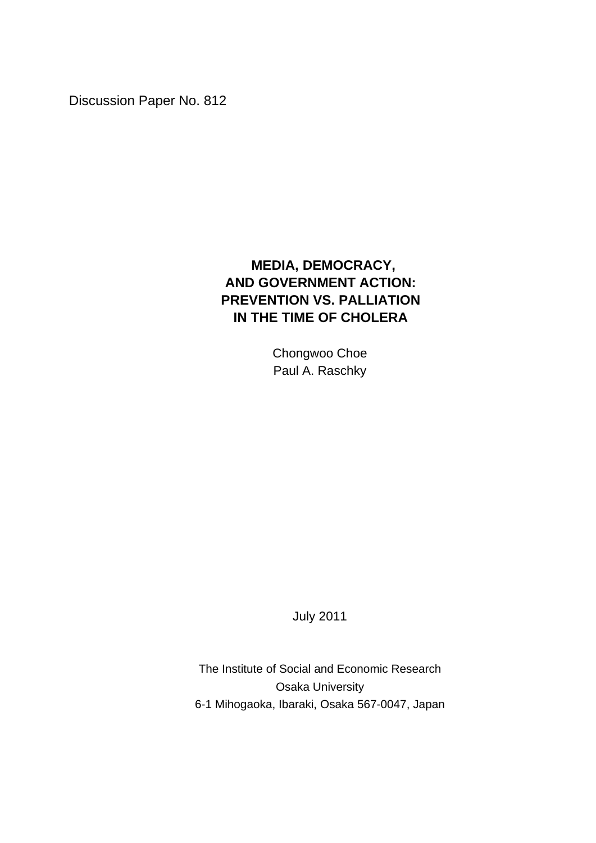Discussion Paper No. 812

# **MEDIA, DEMOCRACY, AND GOVERNMENT ACTION: PREVENTION VS. PALLIATION IN THE TIME OF CHOLERA**

Chongwoo Choe Paul A. Raschky

July 2011

The Institute of Social and Economic Research Osaka University 6-1 Mihogaoka, Ibaraki, Osaka 567-0047, Japan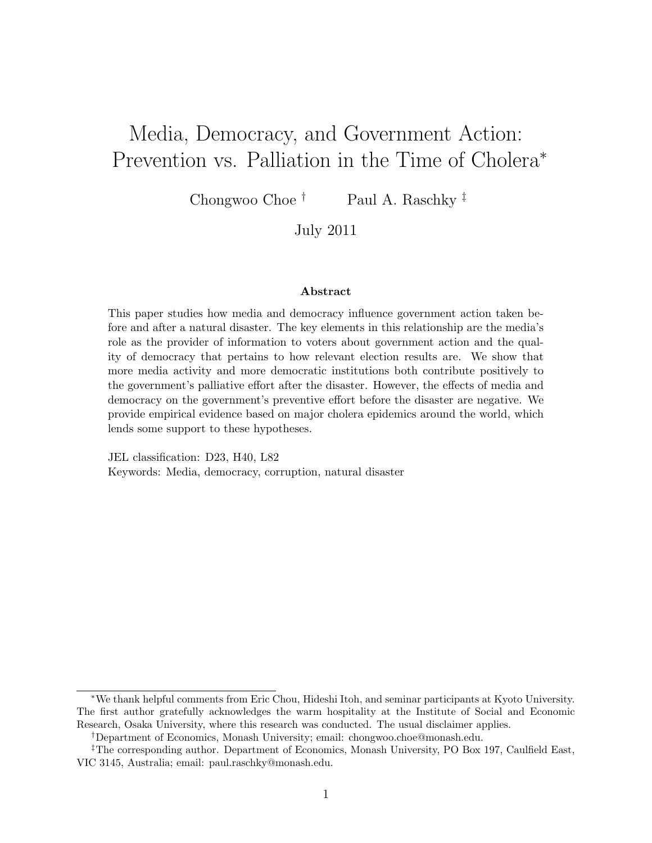# Media, Democracy, and Government Action: Prevention vs. Palliation in the Time of Cholera<sup>∗</sup>

Chongwoo Choe <sup>†</sup> Paul A. Raschky  $\frac{1}{r}$ 

July 2011

#### Abstract

This paper studies how media and democracy influence government action taken before and after a natural disaster. The key elements in this relationship are the media's role as the provider of information to voters about government action and the quality of democracy that pertains to how relevant election results are. We show that more media activity and more democratic institutions both contribute positively to the government's palliative effort after the disaster. However, the effects of media and democracy on the government's preventive effort before the disaster are negative. We provide empirical evidence based on major cholera epidemics around the world, which lends some support to these hypotheses.

JEL classification: D23, H40, L82 Keywords: Media, democracy, corruption, natural disaster

<sup>∗</sup>We thank helpful comments from Eric Chou, Hideshi Itoh, and seminar participants at Kyoto University. The first author gratefully acknowledges the warm hospitality at the Institute of Social and Economic Research, Osaka University, where this research was conducted. The usual disclaimer applies.

<sup>†</sup>Department of Economics, Monash University; email: chongwoo.choe@monash.edu.

<sup>‡</sup>The corresponding author. Department of Economics, Monash University, PO Box 197, Caulfield East, VIC 3145, Australia; email: paul.raschky@monash.edu.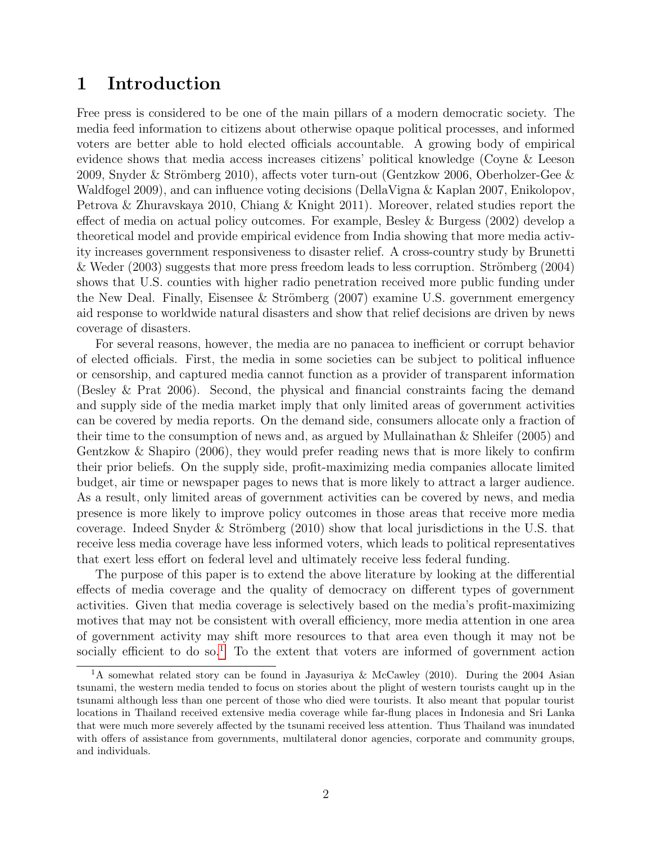# 1 Introduction

Free press is considered to be one of the main pillars of a modern democratic society. The media feed information to citizens about otherwise opaque political processes, and informed voters are better able to hold elected officials accountable. A growing body of empirical evidence shows that media access increases citizens' political knowledge (Coyne & Leeson 2009, Snyder & Strömberg 2010), affects voter turn-out (Gentzkow 2006, Oberholzer-Gee  $\&$ Waldfogel 2009), and can influence voting decisions (DellaVigna & Kaplan 2007, Enikolopov, Petrova & Zhuravskaya 2010, Chiang & Knight 2011). Moreover, related studies report the effect of media on actual policy outcomes. For example, Besley & Burgess (2002) develop a theoretical model and provide empirical evidence from India showing that more media activity increases government responsiveness to disaster relief. A cross-country study by Brunetti & Weder  $(2003)$  suggests that more press freedom leads to less corruption. Strömberg  $(2004)$ shows that U.S. counties with higher radio penetration received more public funding under the New Deal. Finally, Eisensee & Strömberg  $(2007)$  examine U.S. government emergency aid response to worldwide natural disasters and show that relief decisions are driven by news coverage of disasters.

For several reasons, however, the media are no panacea to inefficient or corrupt behavior of elected officials. First, the media in some societies can be subject to political influence or censorship, and captured media cannot function as a provider of transparent information (Besley & Prat 2006). Second, the physical and financial constraints facing the demand and supply side of the media market imply that only limited areas of government activities can be covered by media reports. On the demand side, consumers allocate only a fraction of their time to the consumption of news and, as argued by Mullainathan & Shleifer (2005) and Gentzkow & Shapiro (2006), they would prefer reading news that is more likely to confirm their prior beliefs. On the supply side, profit-maximizing media companies allocate limited budget, air time or newspaper pages to news that is more likely to attract a larger audience. As a result, only limited areas of government activities can be covered by news, and media presence is more likely to improve policy outcomes in those areas that receive more media coverage. Indeed Snyder & Strömberg  $(2010)$  show that local jurisdictions in the U.S. that receive less media coverage have less informed voters, which leads to political representatives that exert less effort on federal level and ultimately receive less federal funding.

The purpose of this paper is to extend the above literature by looking at the differential effects of media coverage and the quality of democracy on different types of government activities. Given that media coverage is selectively based on the media's profit-maximizing motives that may not be consistent with overall efficiency, more media attention in one area of government activity may shift more resources to that area even though it may not be socially efficient to do so.<sup>[1](#page-2-0)</sup> To the extent that voters are informed of government action

<span id="page-2-0"></span><sup>&</sup>lt;sup>1</sup>A somewhat related story can be found in Jayasuriya & McCawley (2010). During the 2004 Asian tsunami, the western media tended to focus on stories about the plight of western tourists caught up in the tsunami although less than one percent of those who died were tourists. It also meant that popular tourist locations in Thailand received extensive media coverage while far-flung places in Indonesia and Sri Lanka that were much more severely affected by the tsunami received less attention. Thus Thailand was inundated with offers of assistance from governments, multilateral donor agencies, corporate and community groups, and individuals.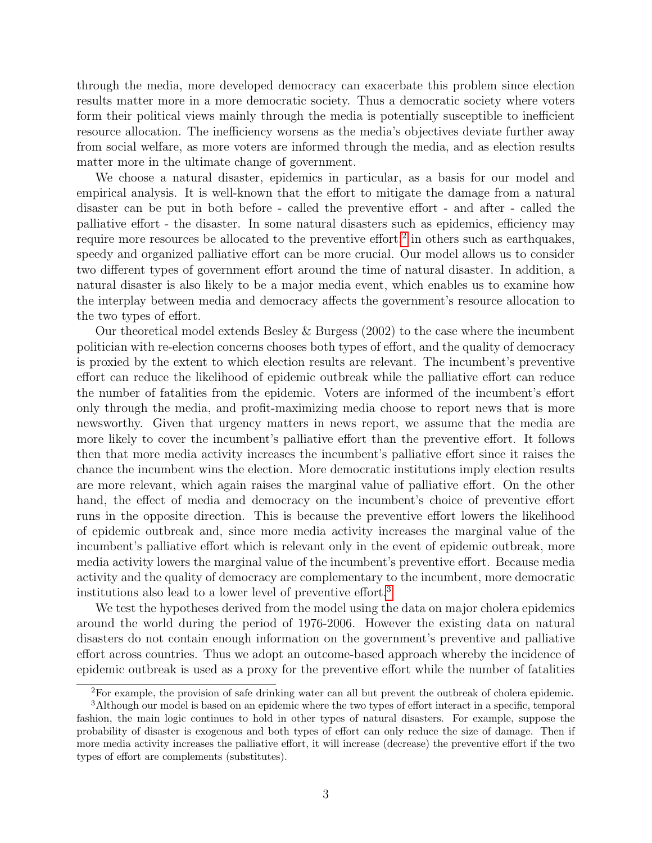through the media, more developed democracy can exacerbate this problem since election results matter more in a more democratic society. Thus a democratic society where voters form their political views mainly through the media is potentially susceptible to inefficient resource allocation. The inefficiency worsens as the media's objectives deviate further away from social welfare, as more voters are informed through the media, and as election results matter more in the ultimate change of government.

We choose a natural disaster, epidemics in particular, as a basis for our model and empirical analysis. It is well-known that the effort to mitigate the damage from a natural disaster can be put in both before - called the preventive effort - and after - called the palliative effort - the disaster. In some natural disasters such as epidemics, efficiency may require more resources be allocated to the preventive effort;<sup>[2](#page-3-0)</sup> in others such as earthquakes, speedy and organized palliative effort can be more crucial. Our model allows us to consider two different types of government effort around the time of natural disaster. In addition, a natural disaster is also likely to be a major media event, which enables us to examine how the interplay between media and democracy affects the government's resource allocation to the two types of effort.

Our theoretical model extends Besley & Burgess (2002) to the case where the incumbent politician with re-election concerns chooses both types of effort, and the quality of democracy is proxied by the extent to which election results are relevant. The incumbent's preventive effort can reduce the likelihood of epidemic outbreak while the palliative effort can reduce the number of fatalities from the epidemic. Voters are informed of the incumbent's effort only through the media, and profit-maximizing media choose to report news that is more newsworthy. Given that urgency matters in news report, we assume that the media are more likely to cover the incumbent's palliative effort than the preventive effort. It follows then that more media activity increases the incumbent's palliative effort since it raises the chance the incumbent wins the election. More democratic institutions imply election results are more relevant, which again raises the marginal value of palliative effort. On the other hand, the effect of media and democracy on the incumbent's choice of preventive effort runs in the opposite direction. This is because the preventive effort lowers the likelihood of epidemic outbreak and, since more media activity increases the marginal value of the incumbent's palliative effort which is relevant only in the event of epidemic outbreak, more media activity lowers the marginal value of the incumbent's preventive effort. Because media activity and the quality of democracy are complementary to the incumbent, more democratic institutions also lead to a lower level of preventive effort.[3](#page-3-1)

We test the hypotheses derived from the model using the data on major cholera epidemics around the world during the period of 1976-2006. However the existing data on natural disasters do not contain enough information on the government's preventive and palliative effort across countries. Thus we adopt an outcome-based approach whereby the incidence of epidemic outbreak is used as a proxy for the preventive effort while the number of fatalities

<span id="page-3-1"></span><span id="page-3-0"></span><sup>2</sup>For example, the provision of safe drinking water can all but prevent the outbreak of cholera epidemic.

<sup>&</sup>lt;sup>3</sup>Although our model is based on an epidemic where the two types of effort interact in a specific, temporal fashion, the main logic continues to hold in other types of natural disasters. For example, suppose the probability of disaster is exogenous and both types of effort can only reduce the size of damage. Then if more media activity increases the palliative effort, it will increase (decrease) the preventive effort if the two types of effort are complements (substitutes).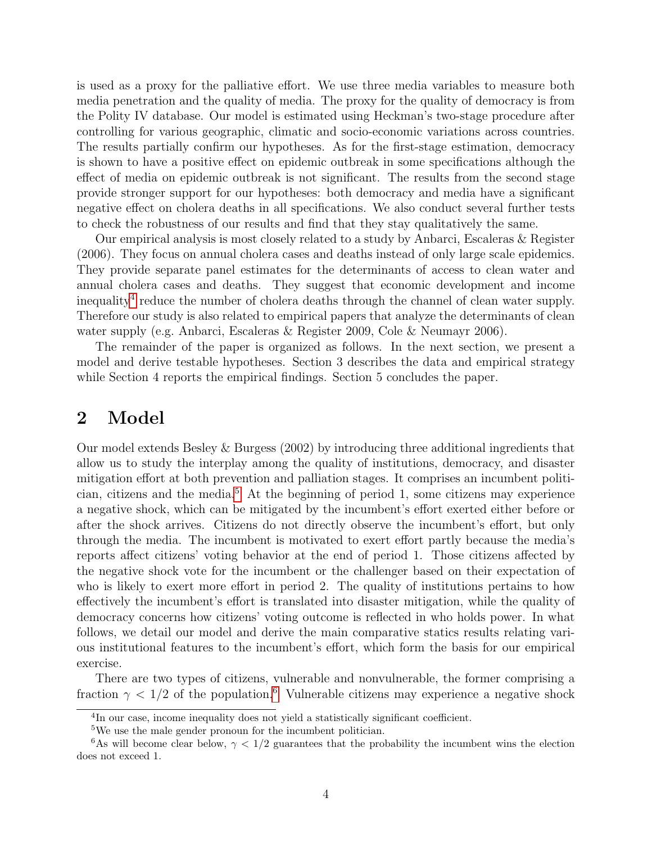is used as a proxy for the palliative effort. We use three media variables to measure both media penetration and the quality of media. The proxy for the quality of democracy is from the Polity IV database. Our model is estimated using Heckman's two-stage procedure after controlling for various geographic, climatic and socio-economic variations across countries. The results partially confirm our hypotheses. As for the first-stage estimation, democracy is shown to have a positive effect on epidemic outbreak in some specifications although the effect of media on epidemic outbreak is not significant. The results from the second stage provide stronger support for our hypotheses: both democracy and media have a significant negative effect on cholera deaths in all specifications. We also conduct several further tests to check the robustness of our results and find that they stay qualitatively the same.

Our empirical analysis is most closely related to a study by Anbarci, Escaleras & Register (2006). They focus on annual cholera cases and deaths instead of only large scale epidemics. They provide separate panel estimates for the determinants of access to clean water and annual cholera cases and deaths. They suggest that economic development and income inequality<sup>[4](#page-4-0)</sup> reduce the number of cholera deaths through the channel of clean water supply. Therefore our study is also related to empirical papers that analyze the determinants of clean water supply (e.g. Anbarci, Escaleras & Register 2009, Cole & Neumayr 2006).

The remainder of the paper is organized as follows. In the next section, we present a model and derive testable hypotheses. Section 3 describes the data and empirical strategy while Section 4 reports the empirical findings. Section 5 concludes the paper.

# 2 Model

Our model extends Besley & Burgess (2002) by introducing three additional ingredients that allow us to study the interplay among the quality of institutions, democracy, and disaster mitigation effort at both prevention and palliation stages. It comprises an incumbent politi-cian, citizens and the media.<sup>[5](#page-4-1)</sup> At the beginning of period 1, some citizens may experience a negative shock, which can be mitigated by the incumbent's effort exerted either before or after the shock arrives. Citizens do not directly observe the incumbent's effort, but only through the media. The incumbent is motivated to exert effort partly because the media's reports affect citizens' voting behavior at the end of period 1. Those citizens affected by the negative shock vote for the incumbent or the challenger based on their expectation of who is likely to exert more effort in period 2. The quality of institutions pertains to how effectively the incumbent's effort is translated into disaster mitigation, while the quality of democracy concerns how citizens' voting outcome is reflected in who holds power. In what follows, we detail our model and derive the main comparative statics results relating various institutional features to the incumbent's effort, which form the basis for our empirical exercise.

There are two types of citizens, vulnerable and nonvulnerable, the former comprising a fraction  $\gamma$  < 1/2 of the population.<sup>[6](#page-4-2)</sup> Vulnerable citizens may experience a negative shock

<span id="page-4-0"></span><sup>&</sup>lt;sup>4</sup>In our case, income inequality does not yield a statistically significant coefficient.

<span id="page-4-2"></span><span id="page-4-1"></span><sup>5</sup>We use the male gender pronoun for the incumbent politician.

<sup>&</sup>lt;sup>6</sup>As will become clear below,  $\gamma$  < 1/2 guarantees that the probability the incumbent wins the election does not exceed 1.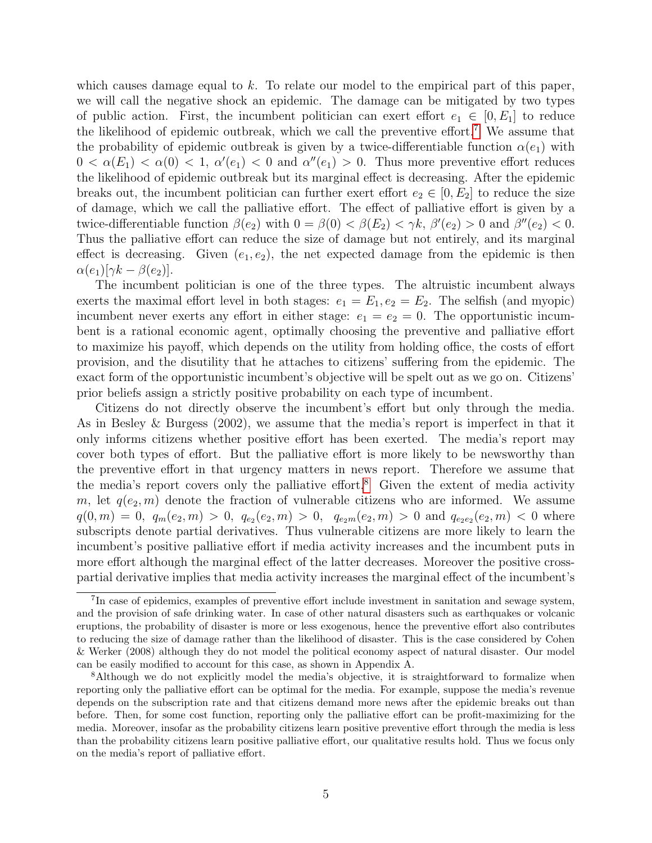which causes damage equal to k. To relate our model to the empirical part of this paper, we will call the negative shock an epidemic. The damage can be mitigated by two types of public action. First, the incumbent politician can exert effort  $e_1 \in [0, E_1]$  to reduce the likelihood of epidemic outbreak, which we call the preventive effort.<sup>[7](#page-5-0)</sup> We assume that the probability of epidemic outbreak is given by a twice-differentiable function  $\alpha(e_1)$  with  $0 < \alpha(E_1) < \alpha(0) < 1, \ \alpha'(e_1) < 0$  and  $\alpha''(e_1) > 0$ . Thus more preventive effort reduces the likelihood of epidemic outbreak but its marginal effect is decreasing. After the epidemic breaks out, the incumbent politician can further exert effort  $e_2 \in [0, E_2]$  to reduce the size of damage, which we call the palliative effort. The effect of palliative effort is given by a twice-differentiable function  $\beta(e_2)$  with  $0 = \beta(0) < \beta(E_2) < \gamma k$ ,  $\beta'(e_2) > 0$  and  $\beta''(e_2) < 0$ . Thus the palliative effort can reduce the size of damage but not entirely, and its marginal effect is decreasing. Given  $(e_1, e_2)$ , the net expected damage from the epidemic is then  $\alpha(e_1)[\gamma k - \beta(e_2)].$ 

The incumbent politician is one of the three types. The altruistic incumbent always exerts the maximal effort level in both stages:  $e_1 = E_1, e_2 = E_2$ . The selfish (and myopic) incumbent never exerts any effort in either stage:  $e_1 = e_2 = 0$ . The opportunistic incumbent is a rational economic agent, optimally choosing the preventive and palliative effort to maximize his payoff, which depends on the utility from holding office, the costs of effort provision, and the disutility that he attaches to citizens' suffering from the epidemic. The exact form of the opportunistic incumbent's objective will be spelt out as we go on. Citizens' prior beliefs assign a strictly positive probability on each type of incumbent.

Citizens do not directly observe the incumbent's effort but only through the media. As in Besley & Burgess (2002), we assume that the media's report is imperfect in that it only informs citizens whether positive effort has been exerted. The media's report may cover both types of effort. But the palliative effort is more likely to be newsworthy than the preventive effort in that urgency matters in news report. Therefore we assume that the media's report covers only the palliative effort.<sup>[8](#page-5-1)</sup> Given the extent of media activity m, let  $q(e_2, m)$  denote the fraction of vulnerable citizens who are informed. We assume  $q(0,m) = 0, q_m(e_2,m) > 0, q_{e_2}(e_2,m) > 0, q_{e_2m}(e_2,m) > 0$  and  $q_{e_2e_2}(e_2,m) < 0$  where subscripts denote partial derivatives. Thus vulnerable citizens are more likely to learn the incumbent's positive palliative effort if media activity increases and the incumbent puts in more effort although the marginal effect of the latter decreases. Moreover the positive crosspartial derivative implies that media activity increases the marginal effect of the incumbent's

<span id="page-5-0"></span><sup>&</sup>lt;sup>7</sup>In case of epidemics, examples of preventive effort include investment in sanitation and sewage system, and the provision of safe drinking water. In case of other natural disasters such as earthquakes or volcanic eruptions, the probability of disaster is more or less exogenous, hence the preventive effort also contributes to reducing the size of damage rather than the likelihood of disaster. This is the case considered by Cohen & Werker (2008) although they do not model the political economy aspect of natural disaster. Our model can be easily modified to account for this case, as shown in Appendix A.

<span id="page-5-1"></span><sup>8</sup>Although we do not explicitly model the media's objective, it is straightforward to formalize when reporting only the palliative effort can be optimal for the media. For example, suppose the media's revenue depends on the subscription rate and that citizens demand more news after the epidemic breaks out than before. Then, for some cost function, reporting only the palliative effort can be profit-maximizing for the media. Moreover, insofar as the probability citizens learn positive preventive effort through the media is less than the probability citizens learn positive palliative effort, our qualitative results hold. Thus we focus only on the media's report of palliative effort.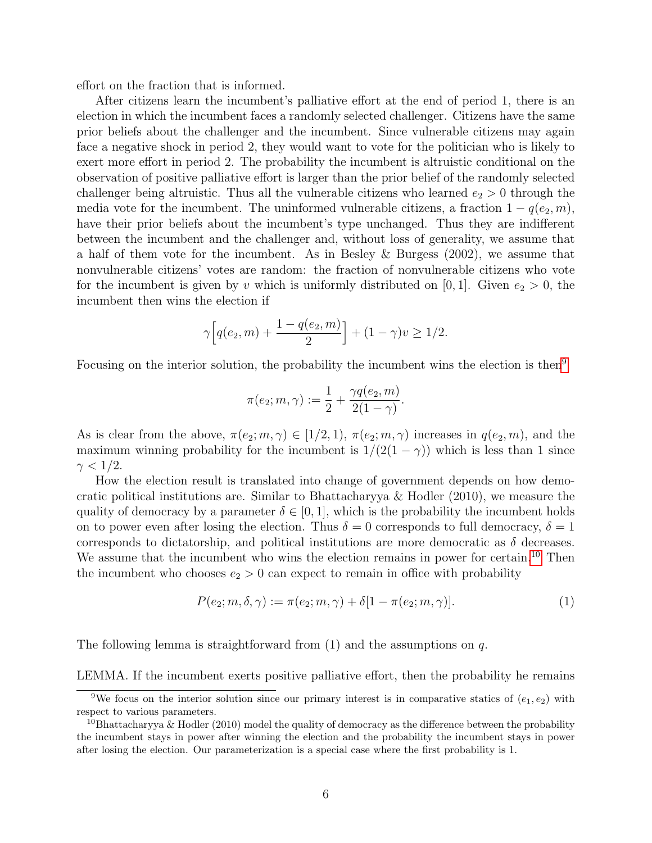effort on the fraction that is informed.

After citizens learn the incumbent's palliative effort at the end of period 1, there is an election in which the incumbent faces a randomly selected challenger. Citizens have the same prior beliefs about the challenger and the incumbent. Since vulnerable citizens may again face a negative shock in period 2, they would want to vote for the politician who is likely to exert more effort in period 2. The probability the incumbent is altruistic conditional on the observation of positive palliative effort is larger than the prior belief of the randomly selected challenger being altruistic. Thus all the vulnerable citizens who learned  $e_2 > 0$  through the media vote for the incumbent. The uninformed vulnerable citizens, a fraction  $1 - q(e_2, m)$ , have their prior beliefs about the incumbent's type unchanged. Thus they are indifferent between the incumbent and the challenger and, without loss of generality, we assume that a half of them vote for the incumbent. As in Besley & Burgess (2002), we assume that nonvulnerable citizens' votes are random: the fraction of nonvulnerable citizens who vote for the incumbent is given by v which is uniformly distributed on [0, 1]. Given  $e_2 > 0$ , the incumbent then wins the election if

$$
\gamma \left[ q(e_2, m) + \frac{1 - q(e_2, m)}{2} \right] + (1 - \gamma)v \ge 1/2.
$$

Focusing on the interior solution, the probability the incumbent wins the election is then<sup>[9](#page-6-0)</sup>

$$
\pi(e_2; m, \gamma) := \frac{1}{2} + \frac{\gamma q(e_2, m)}{2(1 - \gamma)}.
$$

As is clear from the above,  $\pi(e_2; m, \gamma) \in [1/2, 1), \pi(e_2; m, \gamma)$  increases in  $q(e_2, m)$ , and the maximum winning probability for the incumbent is  $1/(2(1 - \gamma))$  which is less than 1 since  $\gamma < 1/2$ .

How the election result is translated into change of government depends on how democratic political institutions are. Similar to Bhattacharyya & Hodler (2010), we measure the quality of democracy by a parameter  $\delta \in [0,1]$ , which is the probability the incumbent holds on to power even after losing the election. Thus  $\delta = 0$  corresponds to full democracy,  $\delta = 1$ corresponds to dictatorship, and political institutions are more democratic as  $\delta$  decreases. We assume that the incumbent who wins the election remains in power for certain.<sup>[10](#page-6-1)</sup> Then the incumbent who chooses  $e_2 > 0$  can expect to remain in office with probability

$$
P(e_2; m, \delta, \gamma) := \pi(e_2; m, \gamma) + \delta[1 - \pi(e_2; m, \gamma)].
$$
\n(1)

The following lemma is straightforward from  $(1)$  and the assumptions on  $q$ .

LEMMA. If the incumbent exerts positive palliative effort, then the probability he remains

<span id="page-6-0"></span><sup>&</sup>lt;sup>9</sup>We focus on the interior solution since our primary interest is in comparative statics of  $(e_1, e_2)$  with respect to various parameters.

<span id="page-6-1"></span><sup>&</sup>lt;sup>10</sup>Bhattacharyya & Hodler (2010) model the quality of democracy as the difference between the probability the incumbent stays in power after winning the election and the probability the incumbent stays in power after losing the election. Our parameterization is a special case where the first probability is 1.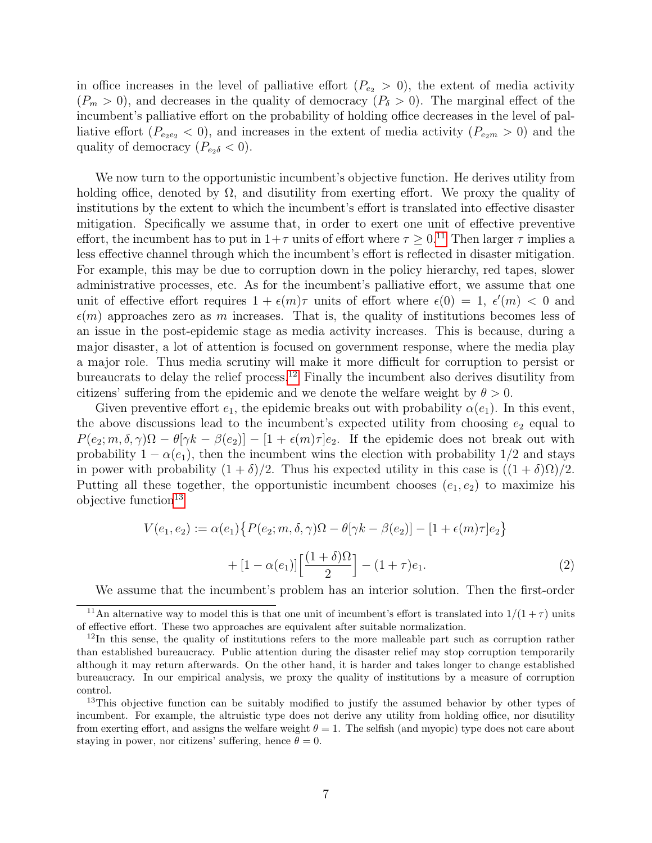in office increases in the level of palliative effort  $(P_{e_2} > 0)$ , the extent of media activity  $(P_m > 0)$ , and decreases in the quality of democracy  $(P_{\delta} > 0)$ . The marginal effect of the incumbent's palliative effort on the probability of holding office decreases in the level of palliative effort  $(P_{e_{2}e_{2}} < 0)$ , and increases in the extent of media activity  $(P_{e_{2}m} > 0)$  and the quality of democracy  $(P_{e_2\delta} < 0)$ .

We now turn to the opportunistic incumbent's objective function. He derives utility from holding office, denoted by  $\Omega$ , and disutility from exerting effort. We proxy the quality of institutions by the extent to which the incumbent's effort is translated into effective disaster mitigation. Specifically we assume that, in order to exert one unit of effective preventive effort, the incumbent has to put in  $1+\tau$  units of effort where  $\tau \geq 0.11$  $\tau \geq 0.11$  Then larger  $\tau$  implies a less effective channel through which the incumbent's effort is reflected in disaster mitigation. For example, this may be due to corruption down in the policy hierarchy, red tapes, slower administrative processes, etc. As for the incumbent's palliative effort, we assume that one unit of effective effort requires  $1 + \epsilon(m)\tau$  units of effort where  $\epsilon(0) = 1, \epsilon'(m) < 0$  and  $\epsilon(m)$  approaches zero as m increases. That is, the quality of institutions becomes less of an issue in the post-epidemic stage as media activity increases. This is because, during a major disaster, a lot of attention is focused on government response, where the media play a major role. Thus media scrutiny will make it more difficult for corruption to persist or bureaucrats to delay the relief process.<sup>[12](#page-7-1)</sup> Finally the incumbent also derives disutility from citizens' suffering from the epidemic and we denote the welfare weight by  $\theta > 0$ .

Given preventive effort  $e_1$ , the epidemic breaks out with probability  $\alpha(e_1)$ . In this event, the above discussions lead to the incumbent's expected utility from choosing  $e_2$  equal to  $P(e_2; m, \delta, \gamma)\Omega - \theta[\gamma k - \beta(e_2)] - [1 + \epsilon(m)\tau]e_2$ . If the epidemic does not break out with probability  $1 - \alpha(e_1)$ , then the incumbent wins the election with probability  $1/2$  and stays in power with probability  $(1 + \delta)/2$ . Thus his expected utility in this case is  $((1 + \delta)\Omega)/2$ . Putting all these together, the opportunistic incumbent chooses  $(e_1, e_2)$  to maximize his objective function<sup>[13](#page-7-2)</sup>

$$
V(e_1, e_2) := \alpha(e_1) \{ P(e_2; m, \delta, \gamma) \Omega - \theta[\gamma k - \beta(e_2)] - [1 + \epsilon(m)\tau]e_2 \} + [1 - \alpha(e_1)] \left[ \frac{(1+\delta)\Omega}{2} \right] - (1+\tau)e_1.
$$
\n(2)

<span id="page-7-0"></span>We assume that the incumbent's problem has an interior solution. Then the first-order

<sup>&</sup>lt;sup>11</sup>An alternative way to model this is that one unit of incumbent's effort is translated into  $1/(1 + \tau)$  units of effective effort. These two approaches are equivalent after suitable normalization.

<span id="page-7-1"></span> $12$ In this sense, the quality of institutions refers to the more malleable part such as corruption rather than established bureaucracy. Public attention during the disaster relief may stop corruption temporarily although it may return afterwards. On the other hand, it is harder and takes longer to change established bureaucracy. In our empirical analysis, we proxy the quality of institutions by a measure of corruption control.

<span id="page-7-2"></span><sup>&</sup>lt;sup>13</sup>This objective function can be suitably modified to justify the assumed behavior by other types of incumbent. For example, the altruistic type does not derive any utility from holding office, nor disutility from exerting effort, and assigns the welfare weight  $\theta = 1$ . The selfish (and myopic) type does not care about staying in power, nor citizens' suffering, hence  $\theta = 0$ .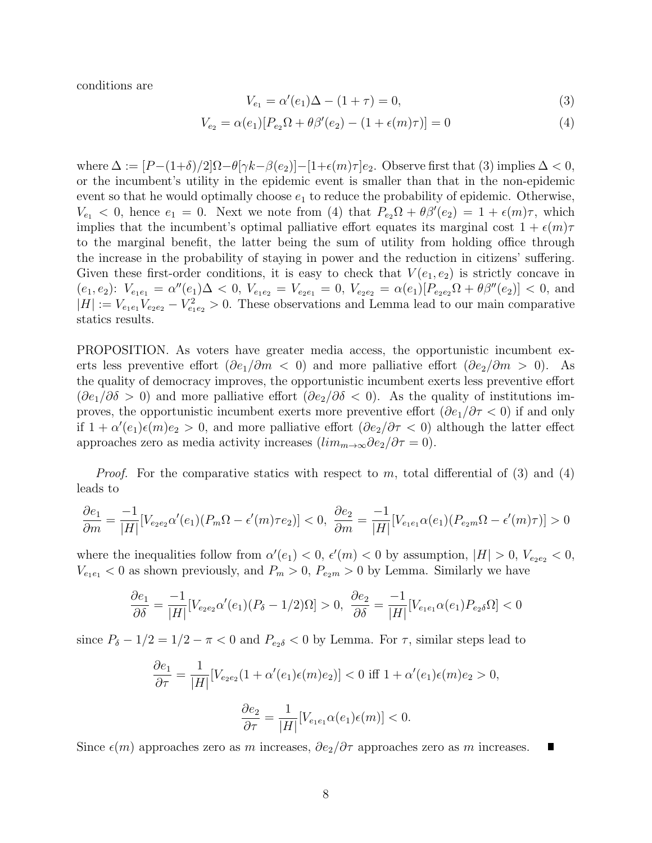conditions are

$$
V_{e_1} = \alpha'(e_1)\Delta - (1+\tau) = 0,\t\t(3)
$$

$$
V_{e_2} = \alpha(e_1)[P_{e_2}\Omega + \theta\beta'(e_2) - (1 + \epsilon(m)\tau)] = 0
$$
\n(4)

where  $\Delta := [P-(1+\delta)/2]\Omega - \theta[\gamma k - \beta(e_2)] - [1+\epsilon(m)\tau]e_2$ . Observe first that (3) implies  $\Delta < 0$ , or the incumbent's utility in the epidemic event is smaller than that in the non-epidemic event so that he would optimally choose  $e_1$  to reduce the probability of epidemic. Otherwise,  $V_{e_1} < 0$ , hence  $e_1 = 0$ . Next we note from (4) that  $P_{e_2}\Omega + \theta \beta'(e_2) = 1 + \epsilon(m)\tau$ , which implies that the incumbent's optimal palliative effort equates its marginal cost  $1 + \epsilon(m)\tau$ to the marginal benefit, the latter being the sum of utility from holding office through the increase in the probability of staying in power and the reduction in citizens' suffering. Given these first-order conditions, it is easy to check that  $V(e_1, e_2)$  is strictly concave in  $(e_1, e_2): V_{e_1e_1} = \alpha''(e_1)\Delta < 0, V_{e_1e_2} = V_{e_2e_1} = 0, V_{e_2e_2} = \alpha(e_1)[P_{e_2e_2}\Omega + \theta\beta''(e_2)] < 0$ , and  $|H| := V_{e_1e_1}V_{e_2e_2} - V_{e_1e_2}^2 > 0$ . These observations and Lemma lead to our main comparative statics results.

PROPOSITION. As voters have greater media access, the opportunistic incumbent exerts less preventive effort  $(\partial e_1/\partial m < 0)$  and more palliative effort  $(\partial e_2/\partial m > 0)$ . As the quality of democracy improves, the opportunistic incumbent exerts less preventive effort  $(\partial e_1/\partial \delta > 0)$  and more palliative effort  $(\partial e_2/\partial \delta < 0)$ . As the quality of institutions improves, the opportunistic incumbent exerts more preventive effort  $(\partial e_1/\partial \tau < 0)$  if and only if  $1 + \alpha'(e_1)\epsilon(m)e_2 > 0$ , and more palliative effort  $(\partial e_2/\partial \tau < 0)$  although the latter effect approaches zero as media activity increases  $(lim_{m\to\infty}\partial e_2/\partial \tau = 0)$ .

*Proof.* For the comparative statics with respect to m, total differential of (3) and (4) leads to

$$
\frac{\partial e_1}{\partial m} = \frac{-1}{|H|} [V_{e_2 e_2} \alpha'(e_1)(P_m \Omega - \epsilon'(m)\tau e_2)] < 0, \ \frac{\partial e_2}{\partial m} = \frac{-1}{|H|} [V_{e_1 e_1} \alpha(e_1)(P_{e_2 m} \Omega - \epsilon'(m)\tau)] > 0
$$

where the inequalities follow from  $\alpha'(e_1) < 0$ ,  $\epsilon'(m) < 0$  by assumption,  $|H| > 0$ ,  $V_{e_2e_2} < 0$ ,  $V_{e_1e_1}$  < 0 as shown previously, and  $P_m > 0$ ,  $P_{e_2m} > 0$  by Lemma. Similarly we have

$$
\frac{\partial e_1}{\partial \delta} = \frac{-1}{|H|} [V_{e_2 e_2} \alpha'(e_1)(P_\delta - 1/2)\Omega] > 0, \quad \frac{\partial e_2}{\partial \delta} = \frac{-1}{|H|} [V_{e_1 e_1} \alpha(e_1) P_{e_2 \delta} \Omega] < 0
$$

since  $P_{\delta} - 1/2 = 1/2 - \pi < 0$  and  $P_{e_2\delta} < 0$  by Lemma. For  $\tau$ , similar steps lead to

$$
\frac{\partial e_1}{\partial \tau} = \frac{1}{|H|} [V_{e_2 e_2} (1 + \alpha'(e_1)\epsilon(m)e_2)] < 0 \text{ iff } 1 + \alpha'(e_1)\epsilon(m)e_2 > 0,
$$
  

$$
\frac{\partial e_2}{\partial \tau} = \frac{1}{|H|} [V_{e_1 e_1} \alpha(e_1)\epsilon(m)] < 0.
$$

Since 
$$
\epsilon(m)
$$
 approaches zero as m increases,  $\partial e_2/\partial \tau$  approaches zero as m increases.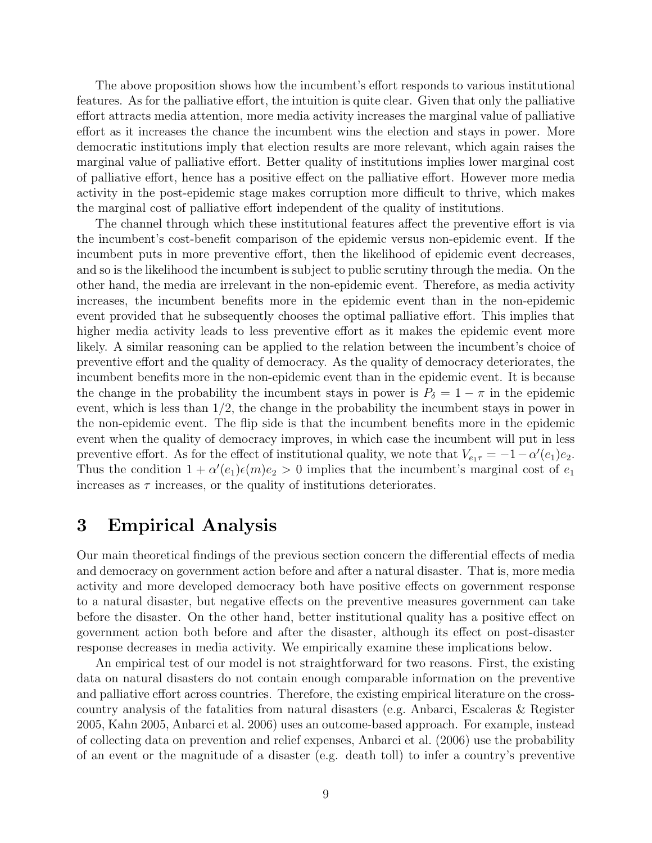The above proposition shows how the incumbent's effort responds to various institutional features. As for the palliative effort, the intuition is quite clear. Given that only the palliative effort attracts media attention, more media activity increases the marginal value of palliative effort as it increases the chance the incumbent wins the election and stays in power. More democratic institutions imply that election results are more relevant, which again raises the marginal value of palliative effort. Better quality of institutions implies lower marginal cost of palliative effort, hence has a positive effect on the palliative effort. However more media activity in the post-epidemic stage makes corruption more difficult to thrive, which makes the marginal cost of palliative effort independent of the quality of institutions.

The channel through which these institutional features affect the preventive effort is via the incumbent's cost-benefit comparison of the epidemic versus non-epidemic event. If the incumbent puts in more preventive effort, then the likelihood of epidemic event decreases, and so is the likelihood the incumbent is subject to public scrutiny through the media. On the other hand, the media are irrelevant in the non-epidemic event. Therefore, as media activity increases, the incumbent benefits more in the epidemic event than in the non-epidemic event provided that he subsequently chooses the optimal palliative effort. This implies that higher media activity leads to less preventive effort as it makes the epidemic event more likely. A similar reasoning can be applied to the relation between the incumbent's choice of preventive effort and the quality of democracy. As the quality of democracy deteriorates, the incumbent benefits more in the non-epidemic event than in the epidemic event. It is because the change in the probability the incumbent stays in power is  $P_\delta = 1 - \pi$  in the epidemic event, which is less than 1/2, the change in the probability the incumbent stays in power in the non-epidemic event. The flip side is that the incumbent benefits more in the epidemic event when the quality of democracy improves, in which case the incumbent will put in less preventive effort. As for the effect of institutional quality, we note that  $V_{e_1\tau} = -1 - \alpha'(e_1)e_2$ . Thus the condition  $1 + \alpha'(e_1)\epsilon(m)e_2 > 0$  implies that the incumbent's marginal cost of  $e_1$ increases as  $\tau$  increases, or the quality of institutions deteriorates.

# 3 Empirical Analysis

Our main theoretical findings of the previous section concern the differential effects of media and democracy on government action before and after a natural disaster. That is, more media activity and more developed democracy both have positive effects on government response to a natural disaster, but negative effects on the preventive measures government can take before the disaster. On the other hand, better institutional quality has a positive effect on government action both before and after the disaster, although its effect on post-disaster response decreases in media activity. We empirically examine these implications below.

An empirical test of our model is not straightforward for two reasons. First, the existing data on natural disasters do not contain enough comparable information on the preventive and palliative effort across countries. Therefore, the existing empirical literature on the crosscountry analysis of the fatalities from natural disasters (e.g. Anbarci, Escaleras & Register 2005, Kahn 2005, Anbarci et al. 2006) uses an outcome-based approach. For example, instead of collecting data on prevention and relief expenses, Anbarci et al. (2006) use the probability of an event or the magnitude of a disaster (e.g. death toll) to infer a country's preventive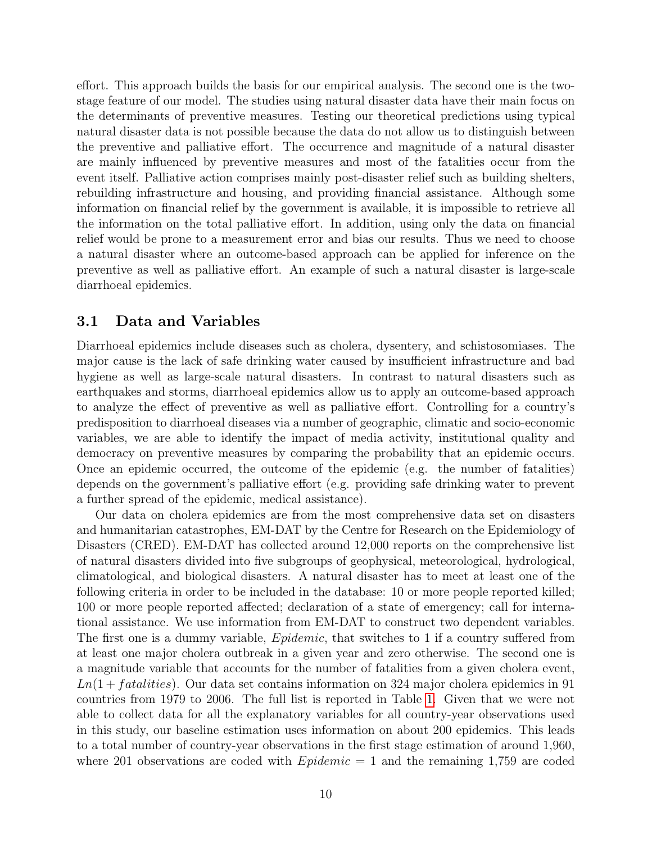effort. This approach builds the basis for our empirical analysis. The second one is the twostage feature of our model. The studies using natural disaster data have their main focus on the determinants of preventive measures. Testing our theoretical predictions using typical natural disaster data is not possible because the data do not allow us to distinguish between the preventive and palliative effort. The occurrence and magnitude of a natural disaster are mainly influenced by preventive measures and most of the fatalities occur from the event itself. Palliative action comprises mainly post-disaster relief such as building shelters, rebuilding infrastructure and housing, and providing financial assistance. Although some information on financial relief by the government is available, it is impossible to retrieve all the information on the total palliative effort. In addition, using only the data on financial relief would be prone to a measurement error and bias our results. Thus we need to choose a natural disaster where an outcome-based approach can be applied for inference on the preventive as well as palliative effort. An example of such a natural disaster is large-scale diarrhoeal epidemics.

### 3.1 Data and Variables

Diarrhoeal epidemics include diseases such as cholera, dysentery, and schistosomiases. The major cause is the lack of safe drinking water caused by insufficient infrastructure and bad hygiene as well as large-scale natural disasters. In contrast to natural disasters such as earthquakes and storms, diarrhoeal epidemics allow us to apply an outcome-based approach to analyze the effect of preventive as well as palliative effort. Controlling for a country's predisposition to diarrhoeal diseases via a number of geographic, climatic and socio-economic variables, we are able to identify the impact of media activity, institutional quality and democracy on preventive measures by comparing the probability that an epidemic occurs. Once an epidemic occurred, the outcome of the epidemic (e.g. the number of fatalities) depends on the government's palliative effort (e.g. providing safe drinking water to prevent a further spread of the epidemic, medical assistance).

Our data on cholera epidemics are from the most comprehensive data set on disasters and humanitarian catastrophes, EM-DAT by the Centre for Research on the Epidemiology of Disasters (CRED). EM-DAT has collected around 12,000 reports on the comprehensive list of natural disasters divided into five subgroups of geophysical, meteorological, hydrological, climatological, and biological disasters. A natural disaster has to meet at least one of the following criteria in order to be included in the database: 10 or more people reported killed; 100 or more people reported affected; declaration of a state of emergency; call for international assistance. We use information from EM-DAT to construct two dependent variables. The first one is a dummy variable, *Epidemic*, that switches to 1 if a country suffered from at least one major cholera outbreak in a given year and zero otherwise. The second one is a magnitude variable that accounts for the number of fatalities from a given cholera event,  $Ln(1 + fatalities)$ . Our data set contains information on 324 major cholera epidemics in 91 countries from 1979 to 2006. The full list is reported in Table [1.](#page-20-0) Given that we were not able to collect data for all the explanatory variables for all country-year observations used in this study, our baseline estimation uses information on about 200 epidemics. This leads to a total number of country-year observations in the first stage estimation of around 1,960, where 201 observations are coded with  $Epidemic = 1$  and the remaining 1,759 are coded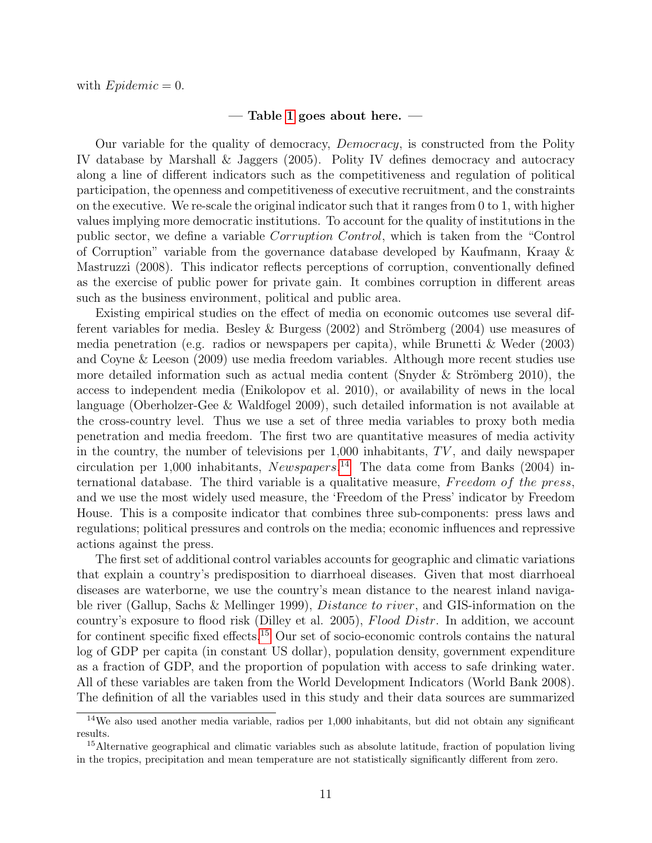#### $-$  Table [1](#page-20-0) goes about here.  $-$

Our variable for the quality of democracy, Democracy, is constructed from the Polity IV database by Marshall & Jaggers (2005). Polity IV defines democracy and autocracy along a line of different indicators such as the competitiveness and regulation of political participation, the openness and competitiveness of executive recruitment, and the constraints on the executive. We re-scale the original indicator such that it ranges from 0 to 1, with higher values implying more democratic institutions. To account for the quality of institutions in the public sector, we define a variable Corruption Control, which is taken from the "Control of Corruption" variable from the governance database developed by Kaufmann, Kraay & Mastruzzi (2008). This indicator reflects perceptions of corruption, conventionally defined as the exercise of public power for private gain. It combines corruption in different areas such as the business environment, political and public area.

Existing empirical studies on the effect of media on economic outcomes use several different variables for media. Besley & Burgess  $(2002)$  and Strömberg  $(2004)$  use measures of media penetration (e.g. radios or newspapers per capita), while Brunetti & Weder (2003) and Coyne & Leeson (2009) use media freedom variables. Although more recent studies use more detailed information such as actual media content (Snyder & Strömberg 2010), the access to independent media (Enikolopov et al. 2010), or availability of news in the local language (Oberholzer-Gee & Waldfogel 2009), such detailed information is not available at the cross-country level. Thus we use a set of three media variables to proxy both media penetration and media freedom. The first two are quantitative measures of media activity in the country, the number of televisions per  $1,000$  inhabitants,  $TV$ , and daily newspaper circulation per 1,000 inhabitants, Newspapers. [14](#page-11-0) The data come from Banks (2004) international database. The third variable is a qualitative measure, Freedom of the press, and we use the most widely used measure, the 'Freedom of the Press' indicator by Freedom House. This is a composite indicator that combines three sub-components: press laws and regulations; political pressures and controls on the media; economic influences and repressive actions against the press.

The first set of additional control variables accounts for geographic and climatic variations that explain a country's predisposition to diarrhoeal diseases. Given that most diarrhoeal diseases are waterborne, we use the country's mean distance to the nearest inland navigable river (Gallup, Sachs & Mellinger 1999), Distance to river, and GIS-information on the country's exposure to flood risk (Dilley et al. 2005), Flood Distr. In addition, we account for continent specific fixed effects.[15](#page-11-1) Our set of socio-economic controls contains the natural log of GDP per capita (in constant US dollar), population density, government expenditure as a fraction of GDP, and the proportion of population with access to safe drinking water. All of these variables are taken from the World Development Indicators (World Bank 2008). The definition of all the variables used in this study and their data sources are summarized

<span id="page-11-0"></span><sup>14</sup>We also used another media variable, radios per 1,000 inhabitants, but did not obtain any significant results.

<span id="page-11-1"></span><sup>&</sup>lt;sup>15</sup>Alternative geographical and climatic variables such as absolute latitude, fraction of population living in the tropics, precipitation and mean temperature are not statistically significantly different from zero.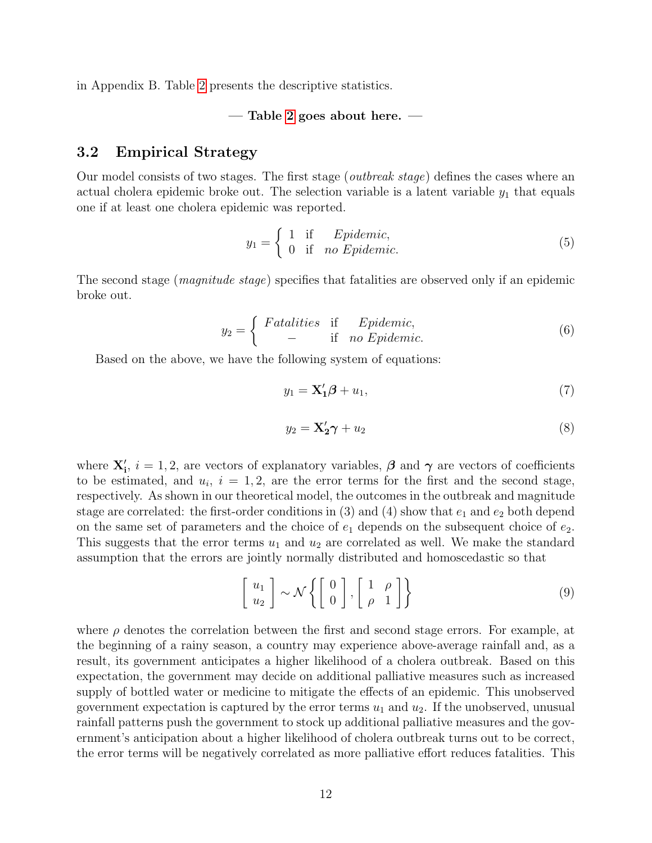in Appendix B. Table [2](#page-21-0) presents the descriptive statistics.

#### $-$  Table [2](#page-21-0) goes about here.  $-$

### 3.2 Empirical Strategy

Our model consists of two stages. The first stage (*outbreak stage*) defines the cases where an actual cholera epidemic broke out. The selection variable is a latent variable  $y_1$  that equals one if at least one cholera epidemic was reported.

$$
y_1 = \begin{cases} 1 & \text{if } \quad Epidemic, \\ 0 & \text{if } \quad no \quad Epidemic. \end{cases} \tag{5}
$$

The second stage (*magnitude stage*) specifies that fatalities are observed only if an epidemic broke out.

$$
y_2 = \begin{cases} \text{Fatalities} & \text{if} \quad \text{Epidemic,} \\ - & \text{if} \quad \text{no Epidemic.} \end{cases} \tag{6}
$$

Based on the above, we have the following system of equations:

<span id="page-12-0"></span>
$$
y_1 = \mathbf{X}_1' \boldsymbol{\beta} + u_1,\tag{7}
$$

<span id="page-12-1"></span>
$$
y_2 = \mathbf{X}_2' \boldsymbol{\gamma} + u_2 \tag{8}
$$

where  $\mathbf{X}'_i$ ,  $i = 1, 2$ , are vectors of explanatory variables,  $\boldsymbol{\beta}$  and  $\boldsymbol{\gamma}$  are vectors of coefficients to be estimated, and  $u_i$ ,  $i = 1, 2$ , are the error terms for the first and the second stage, respectively. As shown in our theoretical model, the outcomes in the outbreak and magnitude stage are correlated: the first-order conditions in  $(3)$  and  $(4)$  show that  $e_1$  and  $e_2$  both depend on the same set of parameters and the choice of  $e_1$  depends on the subsequent choice of  $e_2$ . This suggests that the error terms  $u_1$  and  $u_2$  are correlated as well. We make the standard assumption that the errors are jointly normally distributed and homoscedastic so that

$$
\left[\begin{array}{c} u_1 \\ u_2 \end{array}\right] \sim \mathcal{N} \left\{ \left[\begin{array}{c} 0 \\ 0 \end{array}\right], \left[\begin{array}{cc} 1 & \rho \\ \rho & 1 \end{array}\right] \right\} \tag{9}
$$

where  $\rho$  denotes the correlation between the first and second stage errors. For example, at the beginning of a rainy season, a country may experience above-average rainfall and, as a result, its government anticipates a higher likelihood of a cholera outbreak. Based on this expectation, the government may decide on additional palliative measures such as increased supply of bottled water or medicine to mitigate the effects of an epidemic. This unobserved government expectation is captured by the error terms  $u_1$  and  $u_2$ . If the unobserved, unusual rainfall patterns push the government to stock up additional palliative measures and the government's anticipation about a higher likelihood of cholera outbreak turns out to be correct, the error terms will be negatively correlated as more palliative effort reduces fatalities. This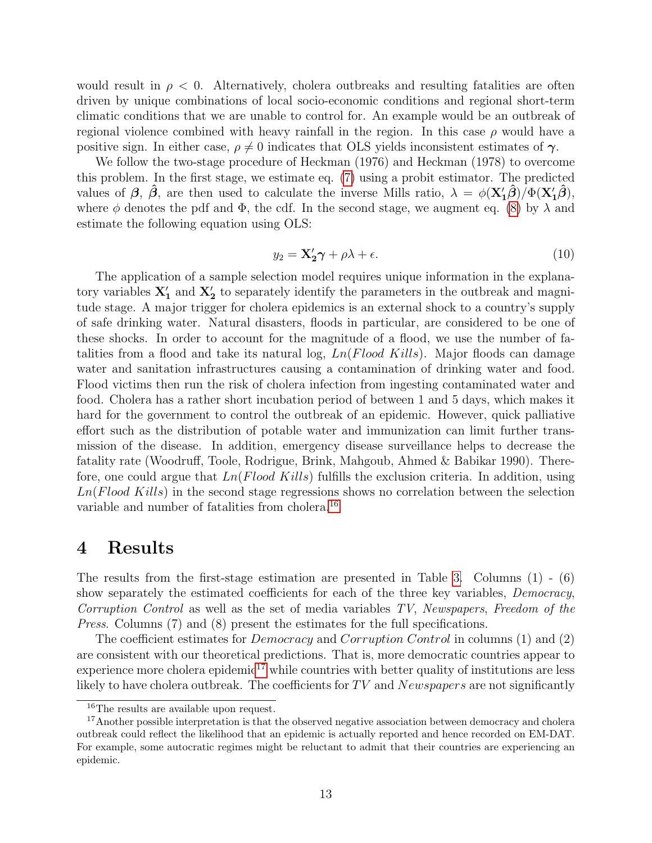would result in  $\rho < 0$ . Alternatively, cholera outbreaks and resulting fatalities are often driven by unique combinations of local socio-economic conditions and regional short-term climatic conditions that we are unable to control for. An example would be an outbreak of regional violence combined with heavy rainfall in the region. In this case  $\rho$  would have a positive sign. In either case,  $\rho \neq 0$  indicates that OLS yields inconsistent estimates of  $\gamma$ .

We follow the two-stage procedure of Heckman (1976) and Heckman (1978) to overcome this problem. In the first stage, we estimate eq. [\(7\)](#page-12-0) using a probit estimator. The predicted values of  $\beta$ ,  $\hat{\beta}$ , are then used to calculate the inverse Mills ratio,  $\lambda = \phi(\mathbf{X}_1'\hat{\beta})/\Phi(\mathbf{X}_1'\hat{\beta})$ , where  $\phi$  denotes the pdf and  $\Phi$ , the cdf. In the second stage, we augment eq. [\(8\)](#page-12-1) by  $\lambda$  and estimate the following equation using OLS:

$$
y_2 = \mathbf{X}_2' \boldsymbol{\gamma} + \rho \lambda + \epsilon. \tag{10}
$$

The application of a sample selection model requires unique information in the explanatory variables  $X'_1$  and  $X'_2$  to separately identify the parameters in the outbreak and magnitude stage. A major trigger for cholera epidemics is an external shock to a country's supply of safe drinking water. Natural disasters, floods in particular, are considered to be one of these shocks. In order to account for the magnitude of a flood, we use the number of fatalities from a flood and take its natural log,  $Ln(Flood$  Kills). Major floods can damage water and sanitation infrastructures causing a contamination of drinking water and food. Flood victims then run the risk of cholera infection from ingesting contaminated water and food. Cholera has a rather short incubation period of between 1 and 5 days, which makes it hard for the government to control the outbreak of an epidemic. However, quick palliative effort such as the distribution of potable water and immunization can limit further transmission of the disease. In addition, emergency disease surveillance helps to decrease the fatality rate (Woodruff, Toole, Rodrigue, Brink, Mahgoub, Ahmed & Babikar 1990). Therefore, one could argue that  $Ln(Flood~Kills)$  fulfills the exclusion criteria. In addition, using  $Ln(Flood~Kills)$  in the second stage regressions shows no correlation between the selection variable and number of fatalities from cholera.[16](#page-13-0)

# 4 Results

The results from the first-stage estimation are presented in Table [3.](#page-22-0) Columns  $(1)$  -  $(6)$ show separately the estimated coefficients for each of the three key variables, *Democracy*, Corruption Control as well as the set of media variables TV, Newspapers, Freedom of the Press. Columns (7) and (8) present the estimates for the full specifications.

The coefficient estimates for *Democracy* and *Corruption Control* in columns (1) and (2) are consistent with our theoretical predictions. That is, more democratic countries appear to experience more cholera epidemic<sup>[17](#page-13-1)</sup> while countries with better quality of institutions are less likely to have cholera outbreak. The coefficients for  $TV$  and  $News papers$  are not significantly

<span id="page-13-1"></span><span id="page-13-0"></span><sup>16</sup>The results are available upon request.

<sup>&</sup>lt;sup>17</sup>Another possible interpretation is that the observed negative association between democracy and cholera outbreak could reflect the likelihood that an epidemic is actually reported and hence recorded on EM-DAT. For example, some autocratic regimes might be reluctant to admit that their countries are experiencing an epidemic.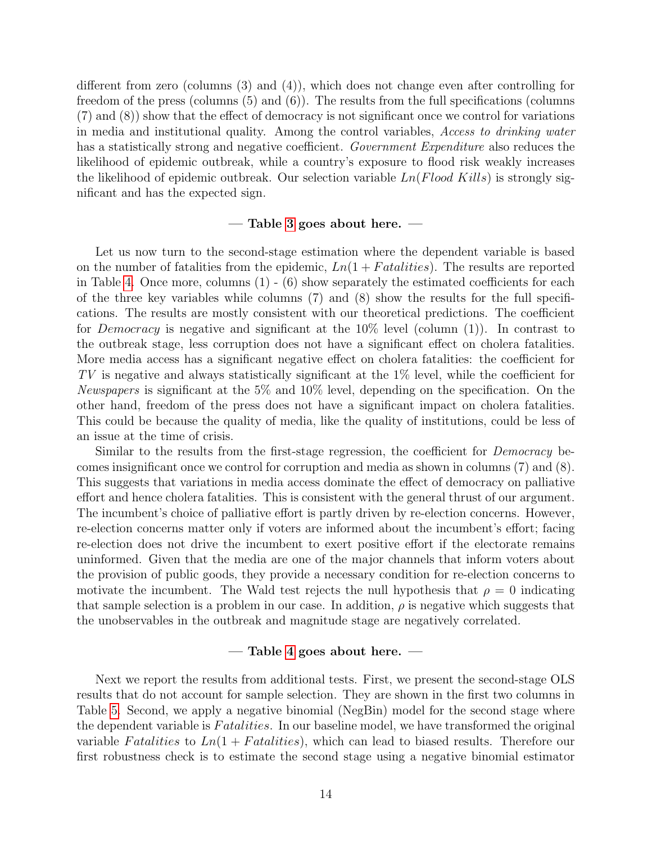different from zero (columns (3) and (4)), which does not change even after controlling for freedom of the press (columns (5) and (6)). The results from the full specifications (columns (7) and (8)) show that the effect of democracy is not significant once we control for variations in media and institutional quality. Among the control variables, Access to drinking water has a statistically strong and negative coefficient. Government Expenditure also reduces the likelihood of epidemic outbreak, while a country's exposure to flood risk weakly increases the likelihood of epidemic outbreak. Our selection variable  $Ln(Flood$  Kills) is strongly significant and has the expected sign.

### – Table [3](#page-22-0) goes about here.  $-$

Let us now turn to the second-stage estimation where the dependent variable is based on the number of fatalities from the epidemic,  $Ln(1 + Fatalities)$ . The results are reported in Table [4.](#page-23-0) Once more, columns  $(1)$  -  $(6)$  show separately the estimated coefficients for each of the three key variables while columns (7) and (8) show the results for the full specifications. The results are mostly consistent with our theoretical predictions. The coefficient for *Democracy* is negative and significant at the  $10\%$  level (column  $(1)$ ). In contrast to the outbreak stage, less corruption does not have a significant effect on cholera fatalities. More media access has a significant negative effect on cholera fatalities: the coefficient for TV is negative and always statistically significant at the 1% level, while the coefficient for Newspapers is significant at the 5% and 10% level, depending on the specification. On the other hand, freedom of the press does not have a significant impact on cholera fatalities. This could be because the quality of media, like the quality of institutions, could be less of an issue at the time of crisis.

Similar to the results from the first-stage regression, the coefficient for  $Democrac_V$  becomes insignificant once we control for corruption and media as shown in columns (7) and (8). This suggests that variations in media access dominate the effect of democracy on palliative effort and hence cholera fatalities. This is consistent with the general thrust of our argument. The incumbent's choice of palliative effort is partly driven by re-election concerns. However, re-election concerns matter only if voters are informed about the incumbent's effort; facing re-election does not drive the incumbent to exert positive effort if the electorate remains uninformed. Given that the media are one of the major channels that inform voters about the provision of public goods, they provide a necessary condition for re-election concerns to motivate the incumbent. The Wald test rejects the null hypothesis that  $\rho = 0$  indicating that sample selection is a problem in our case. In addition,  $\rho$  is negative which suggests that the unobservables in the outbreak and magnitude stage are negatively correlated.

### $-$  Table [4](#page-23-0) goes about here.  $-$

Next we report the results from additional tests. First, we present the second-stage OLS results that do not account for sample selection. They are shown in the first two columns in Table [5.](#page-24-0) Second, we apply a negative binomial (NegBin) model for the second stage where the dependent variable is Fatalities. In our baseline model, we have transformed the original variable Fatalities to  $Ln(1 + Fatalities)$ , which can lead to biased results. Therefore our first robustness check is to estimate the second stage using a negative binomial estimator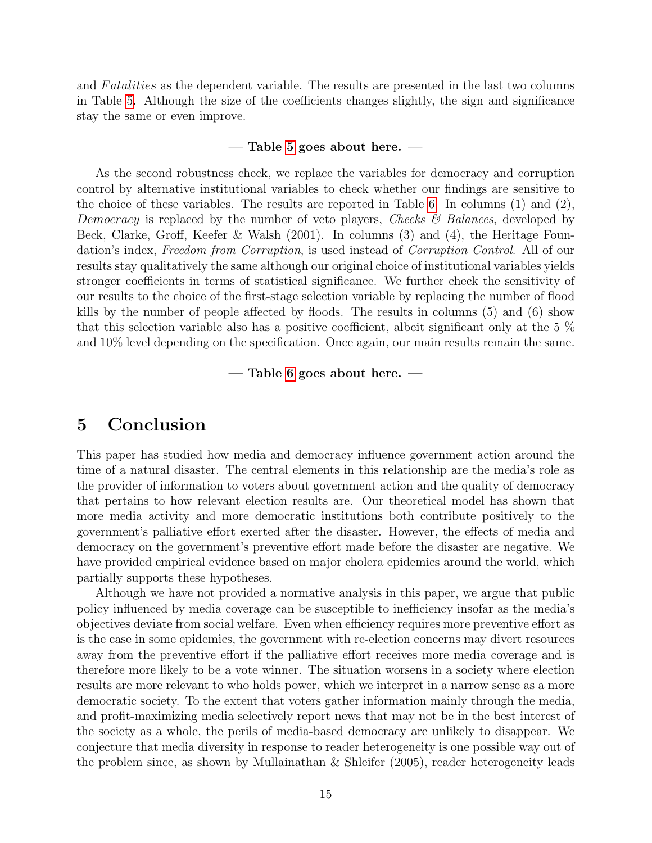and Fatalities as the dependent variable. The results are presented in the last two columns in Table [5.](#page-24-0) Although the size of the coefficients changes slightly, the sign and significance stay the same or even improve.

### $-$  Table [5](#page-24-0) goes about here.  $-$

As the second robustness check, we replace the variables for democracy and corruption control by alternative institutional variables to check whether our findings are sensitive to the choice of these variables. The results are reported in Table [6.](#page-25-0) In columns (1) and (2), Democracy is replaced by the number of veto players, Checks  $\mathscr{B}$  Balances, developed by Beck, Clarke, Groff, Keefer & Walsh (2001). In columns (3) and (4), the Heritage Foundation's index, Freedom from Corruption, is used instead of Corruption Control. All of our results stay qualitatively the same although our original choice of institutional variables yields stronger coefficients in terms of statistical significance. We further check the sensitivity of our results to the choice of the first-stage selection variable by replacing the number of flood kills by the number of people affected by floods. The results in columns (5) and (6) show that this selection variable also has a positive coefficient, albeit significant only at the 5 % and 10% level depending on the specification. Once again, our main results remain the same.

 $-$  Table [6](#page-25-0) goes about here.  $-$ 

## 5 Conclusion

This paper has studied how media and democracy influence government action around the time of a natural disaster. The central elements in this relationship are the media's role as the provider of information to voters about government action and the quality of democracy that pertains to how relevant election results are. Our theoretical model has shown that more media activity and more democratic institutions both contribute positively to the government's palliative effort exerted after the disaster. However, the effects of media and democracy on the government's preventive effort made before the disaster are negative. We have provided empirical evidence based on major cholera epidemics around the world, which partially supports these hypotheses.

Although we have not provided a normative analysis in this paper, we argue that public policy influenced by media coverage can be susceptible to inefficiency insofar as the media's objectives deviate from social welfare. Even when efficiency requires more preventive effort as is the case in some epidemics, the government with re-election concerns may divert resources away from the preventive effort if the palliative effort receives more media coverage and is therefore more likely to be a vote winner. The situation worsens in a society where election results are more relevant to who holds power, which we interpret in a narrow sense as a more democratic society. To the extent that voters gather information mainly through the media, and profit-maximizing media selectively report news that may not be in the best interest of the society as a whole, the perils of media-based democracy are unlikely to disappear. We conjecture that media diversity in response to reader heterogeneity is one possible way out of the problem since, as shown by Mullainathan & Shleifer (2005), reader heterogeneity leads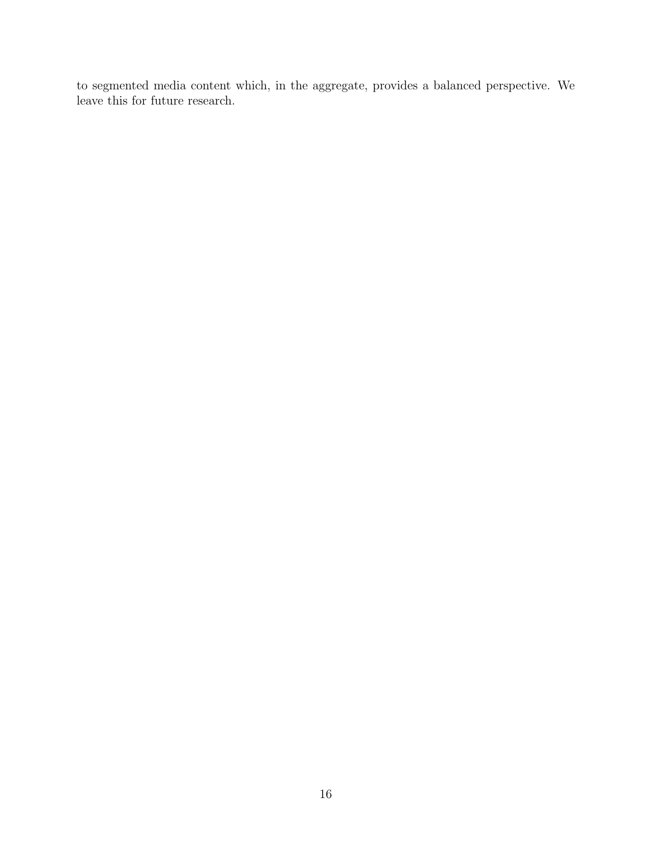to segmented media content which, in the aggregate, provides a balanced perspective. We leave this for future research.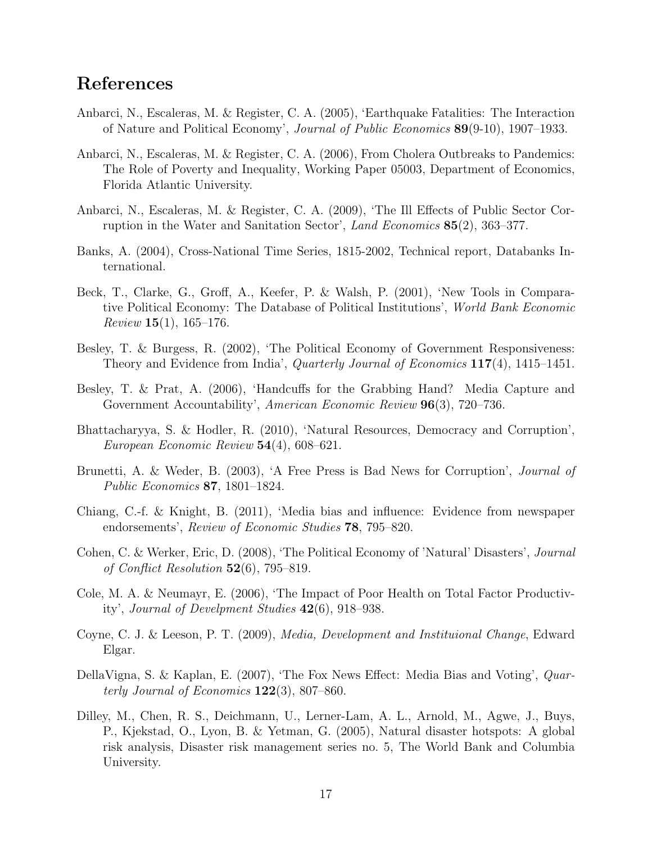# References

- Anbarci, N., Escaleras, M. & Register, C. A. (2005), 'Earthquake Fatalities: The Interaction of Nature and Political Economy', Journal of Public Economics 89(9-10), 1907–1933.
- Anbarci, N., Escaleras, M. & Register, C. A. (2006), From Cholera Outbreaks to Pandemics: The Role of Poverty and Inequality, Working Paper 05003, Department of Economics, Florida Atlantic University.
- Anbarci, N., Escaleras, M. & Register, C. A. (2009), 'The Ill Effects of Public Sector Corruption in the Water and Sanitation Sector', Land Economics 85(2), 363–377.
- Banks, A. (2004), Cross-National Time Series, 1815-2002, Technical report, Databanks International.
- Beck, T., Clarke, G., Groff, A., Keefer, P. & Walsh, P. (2001), 'New Tools in Comparative Political Economy: The Database of Political Institutions', World Bank Economic *Review* **15**(1), 165–176.
- Besley, T. & Burgess, R. (2002), 'The Political Economy of Government Responsiveness: Theory and Evidence from India', Quarterly Journal of Economics 117(4), 1415–1451.
- Besley, T. & Prat, A. (2006), 'Handcuffs for the Grabbing Hand? Media Capture and Government Accountability', American Economic Review 96(3), 720–736.
- Bhattacharyya, S. & Hodler, R. (2010), 'Natural Resources, Democracy and Corruption', European Economic Review  $54(4)$ , 608–621.
- Brunetti, A. & Weder, B. (2003), 'A Free Press is Bad News for Corruption', *Journal of* Public Economics 87, 1801–1824.
- Chiang, C.-f. & Knight, B. (2011), 'Media bias and influence: Evidence from newspaper endorsements', Review of Economic Studies 78, 795–820.
- Cohen, C. & Werker, Eric, D. (2008), 'The Political Economy of 'Natural' Disasters', Journal of Conflict Resolution  $52(6)$ , 795–819.
- Cole, M. A. & Neumayr, E. (2006), 'The Impact of Poor Health on Total Factor Productivity', Journal of Develpment Studies 42(6), 918–938.
- Coyne, C. J. & Leeson, P. T. (2009), Media, Development and Instituional Change, Edward Elgar.
- DellaVigna, S. & Kaplan, E. (2007), 'The Fox News Effect: Media Bias and Voting', Quarterly Journal of Economics  $122(3)$ , 807–860.
- Dilley, M., Chen, R. S., Deichmann, U., Lerner-Lam, A. L., Arnold, M., Agwe, J., Buys, P., Kjekstad, O., Lyon, B. & Yetman, G. (2005), Natural disaster hotspots: A global risk analysis, Disaster risk management series no. 5, The World Bank and Columbia University.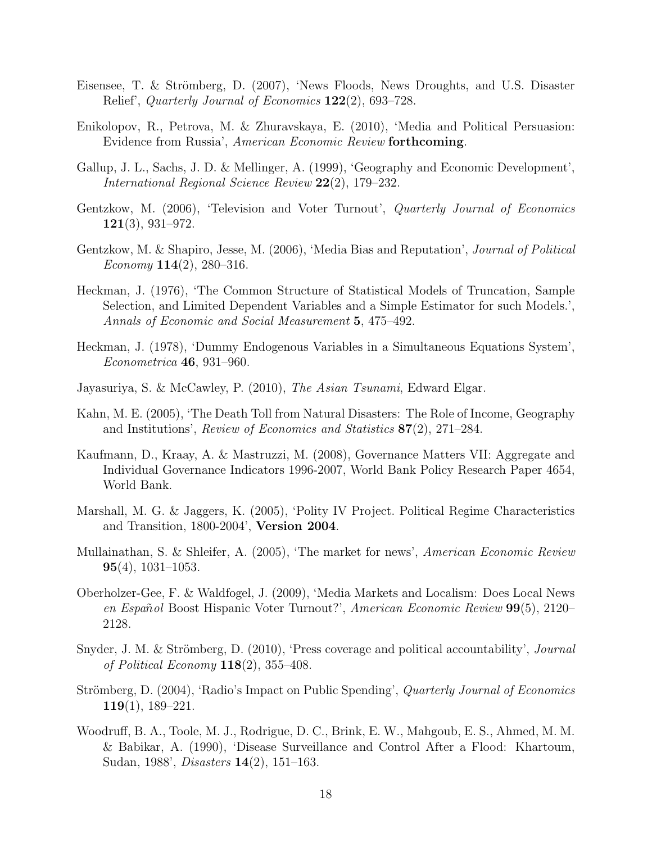- Eisensee, T. & Strömberg, D. (2007), 'News Floods, News Droughts, and U.S. Disaster Relief', Quarterly Journal of Economics 122(2), 693–728.
- Enikolopov, R., Petrova, M. & Zhuravskaya, E. (2010), 'Media and Political Persuasion: Evidence from Russia', American Economic Review forthcoming.
- Gallup, J. L., Sachs, J. D. & Mellinger, A. (1999), 'Geography and Economic Development', International Regional Science Review 22(2), 179–232.
- Gentzkow, M. (2006), 'Television and Voter Turnout', *Quarterly Journal of Economics* 121(3), 931–972.
- Gentzkow, M. & Shapiro, Jesse, M. (2006), 'Media Bias and Reputation', Journal of Political Economy  $114(2)$ , 280–316.
- Heckman, J. (1976), 'The Common Structure of Statistical Models of Truncation, Sample Selection, and Limited Dependent Variables and a Simple Estimator for such Models.', Annals of Economic and Social Measurement 5, 475–492.
- Heckman, J. (1978), 'Dummy Endogenous Variables in a Simultaneous Equations System', Econometrica 46, 931–960.
- Jayasuriya, S. & McCawley, P. (2010), The Asian Tsunami, Edward Elgar.
- Kahn, M. E. (2005), 'The Death Toll from Natural Disasters: The Role of Income, Geography and Institutions', Review of Economics and Statistics 87(2), 271–284.
- Kaufmann, D., Kraay, A. & Mastruzzi, M. (2008), Governance Matters VII: Aggregate and Individual Governance Indicators 1996-2007, World Bank Policy Research Paper 4654, World Bank.
- Marshall, M. G. & Jaggers, K. (2005), 'Polity IV Project. Political Regime Characteristics and Transition, 1800-2004', Version 2004.
- Mullainathan, S. & Shleifer, A. (2005), 'The market for news', American Economic Review  $95(4)$ , 1031–1053.
- Oberholzer-Gee, F. & Waldfogel, J. (2009), 'Media Markets and Localism: Does Local News en Español Boost Hispanic Voter Turnout?', American Economic Review 99(5), 2120– 2128.
- Snyder, J. M. & Strömberg, D. (2010), 'Press coverage and political accountability', *Journal of Political Economy*  $118(2)$ ,  $355-408$ .
- Strömberg, D. (2004), 'Radio's Impact on Public Spending', *Quarterly Journal of Economics* 119(1), 189–221.
- Woodruff, B. A., Toole, M. J., Rodrigue, D. C., Brink, E. W., Mahgoub, E. S., Ahmed, M. M. & Babikar, A. (1990), 'Disease Surveillance and Control After a Flood: Khartoum, Sudan, 1988', Disasters 14(2), 151–163.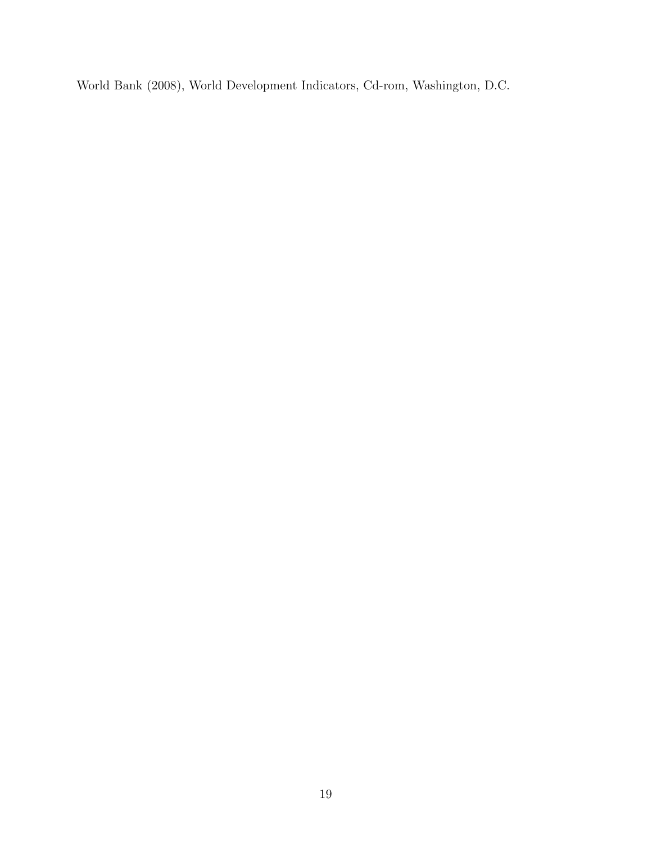World Bank (2008), World Development Indicators, Cd-rom, Washington, D.C.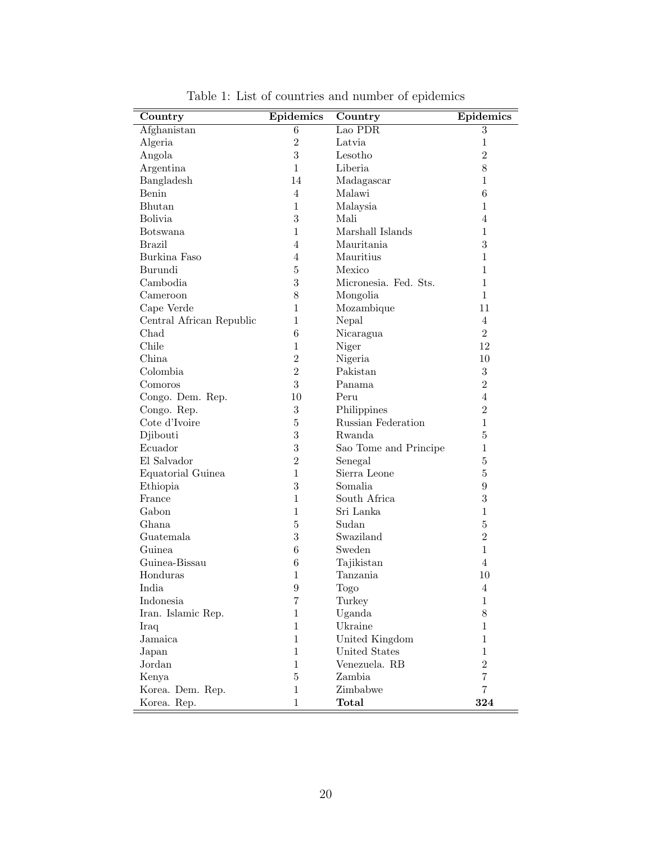| Country                  | Epidemics        | Country               | Epidemics      |
|--------------------------|------------------|-----------------------|----------------|
| Afghanistan              | 6                | Lao PDR               | $\overline{3}$ |
| Algeria                  | $\overline{2}$   | Latvia                | $\mathbf{1}$   |
| Angola                   | 3                | Lesotho               | $\overline{2}$ |
| Argentina                | $\mathbf{1}$     | Liberia               | 8              |
| Bangladesh               | 14               | Madagascar            | $\mathbf 1$    |
| Benin                    | $\overline{4}$   | Malawi                | 6              |
| Bhutan                   | $\mathbf{1}$     | Malaysia              | $\mathbf 1$    |
| <b>Bolivia</b>           | 3                | Mali                  | 4              |
| <b>Botswana</b>          | $\mathbf{1}$     | Marshall Islands      | $\mathbf 1$    |
| <b>Brazil</b>            | $\overline{4}$   | Mauritania            | 3              |
| Burkina Faso             | $\overline{4}$   | Mauritius             | $\mathbf 1$    |
| Burundi                  | $\bf 5$          | Mexico                | $\mathbf{1}$   |
| Cambodia                 | 3                | Micronesia. Fed. Sts. | $\mathbf{1}$   |
| Cameroon                 | 8                | Mongolia              | $\mathbf{1}$   |
| Cape Verde               | $\mathbf{1}$     | Mozambique            | 11             |
| Central African Republic | $\mathbf{1}$     | Nepal                 | 4              |
| Chad                     | $\boldsymbol{6}$ | Nicaragua             | $\overline{2}$ |
| Chile                    | $\mathbf{1}$     | Niger                 | 12             |
| China                    | $\overline{2}$   | Nigeria               | 10             |
| Colombia                 | $\overline{2}$   | Pakistan              | 3              |
| Comoros                  | 3                | Panama                | $\overline{2}$ |
| Congo. Dem. Rep.         | 10               | Peru                  | 4              |
| Congo. Rep.              | $\overline{3}$   | Philippines           | $\overline{2}$ |
| Cote d'Ivoire            | $\bf 5$          | Russian Federation    | $\mathbf 1$    |
| Djibouti                 | 3                | Rwanda                | $\overline{5}$ |
| Ecuador                  | 3                | Sao Tome and Principe | $\mathbf{1}$   |
| El Salvador              | $\overline{2}$   | Senegal               | 5              |
| Equatorial Guinea        | $\mathbf{1}$     | Sierra Leone          | $\overline{5}$ |
| Ethiopia                 | 3                | Somalia               | 9              |
| France                   | $\mathbf{1}$     | South Africa          | 3              |
| Gabon                    | $\mathbf{1}$     | Sri Lanka             | $\mathbf{1}$   |
| Ghana                    | $\bf 5$          | Sudan                 | $\overline{5}$ |
| Guatemala                | 3                | Swaziland             | $\overline{2}$ |
| Guinea                   | $\boldsymbol{6}$ | Sweden                | $\mathbf{1}$   |
| Guinea-Bissau            | 6                | Tajikistan            | 4              |
| Honduras                 | $\mathbf{1}$     | Tanzania              | 10             |
| India                    | $\boldsymbol{9}$ | Togo                  | 4              |
| Indonesia                | $\overline{7}$   | Turkey                | $\mathbf 1$    |
| Iran. Islamic Rep.       | $\mathbf{1}$     | Uganda                | 8              |
| Iraq                     | $\mathbf{1}$     | Ukraine               | 1              |
| Jamaica                  | $\mathbf{1}$     | United Kingdom        | 1              |
| Japan                    | $\mathbf{1}$     | United States         | $\mathbf 1$    |
| Jordan                   | $\mathbf{1}$     | Venezuela. RB         | $\overline{2}$ |
| Kenya                    | $\bf 5$          | Zambia                | $\overline{7}$ |
| Korea. Dem. Rep.         | 1                | Zimbabwe              | $\overline{7}$ |
| Korea. Rep.              | $\mathbf{1}$     | Total                 | 324            |

<span id="page-20-0"></span>Table 1: List of countries and number of epidemics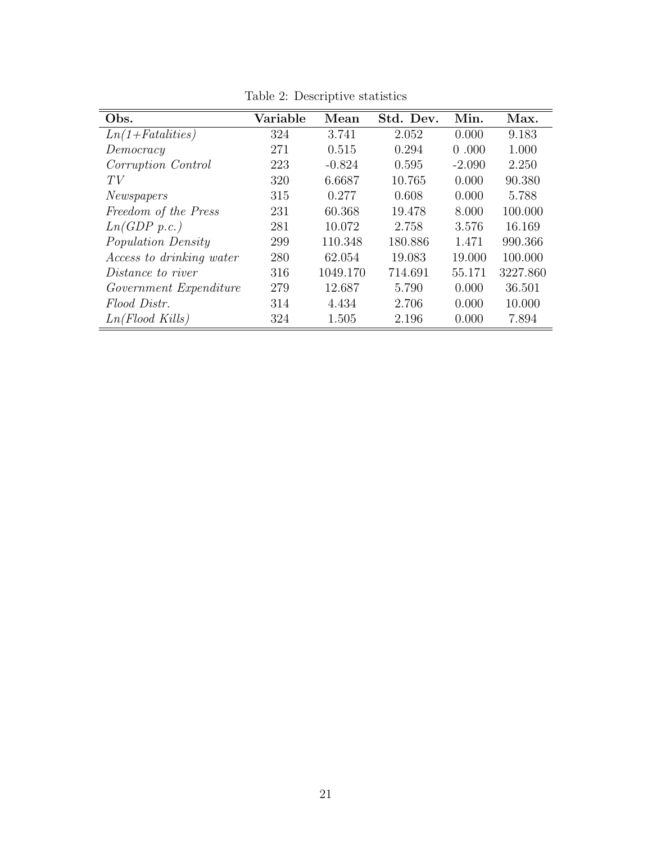| Obs.                            | Variable | Mean     | Std. Dev. | Min.     | Max.     |
|---------------------------------|----------|----------|-----------|----------|----------|
| $Ln(1 + Fatalities)$            | 324      | 3.741    | 2.052     | 0.000    | 9.183    |
| Democracy                       | 271      | 0.515    | 0.294     | 0.000    | 1.000    |
| Corruption Control              | 223      | $-0.824$ | 0.595     | $-2.090$ | 2.250    |
| TV                              | 320      | 6.6687   | 10.765    | 0.000    | 90.380   |
| <i>Newspapers</i>               | 315      | 0.277    | 0.608     | 0.000    | 5.788    |
| Freedom of the Press            | 231      | 60.368   | 19.478    | 8.000    | 100.000  |
| Ln(GDP p.c.)                    | 281      | 10.072   | 2.758     | 3.576    | 16.169   |
| <i>Population Density</i>       | 299      | 110.348  | 180.886   | 1.471    | 990.366  |
| <i>Access to drinking water</i> | 280      | 62.054   | 19.083    | 19.000   | 100.000  |
| <i>Distance to river</i>        | 316      | 1049.170 | 714.691   | 55.171   | 3227.860 |
| Government Expenditure          | 279      | 12.687   | 5.790     | 0.000    | 36.501   |
| Flood Distr.                    | 314      | 4.434    | 2.706     | 0.000    | 10.000   |
| $Ln(Flood$ Kills)               | 324      | 1.505    | 2.196     | 0.000    | 7.894    |

<span id="page-21-0"></span>Table 2: Descriptive statistics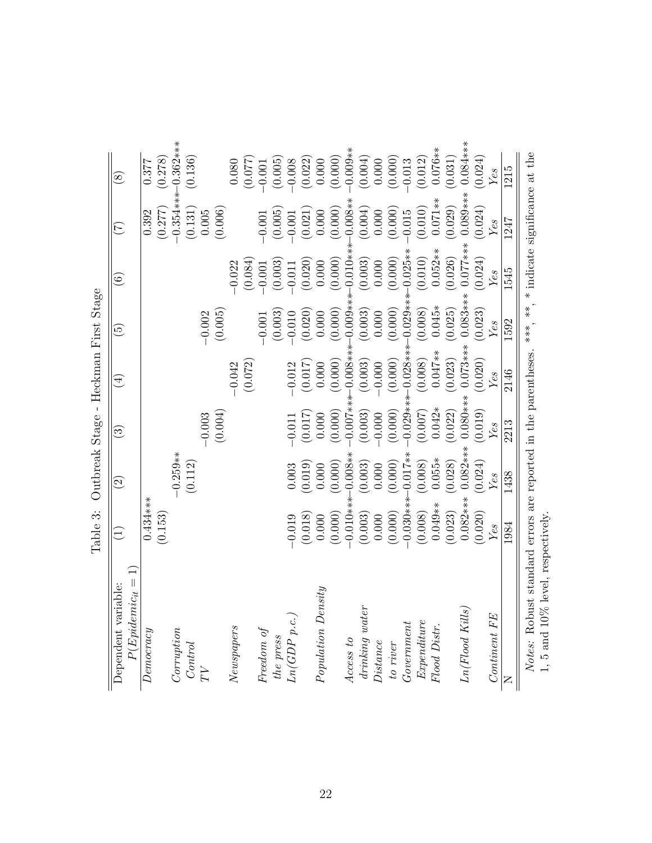<span id="page-22-0"></span>

|                                            |                       |                         |                          |                     | Outbreak Stage - Heckman First Stage |                          |                  |                      |
|--------------------------------------------|-----------------------|-------------------------|--------------------------|---------------------|--------------------------------------|--------------------------|------------------|----------------------|
| $P(Epidemic_{it} =$<br>Dependent variable: | $\bigoplus$           | $\widehat{\mathcal{S}}$ | $\widehat{\mathfrak{S}}$ | $\bigoplus$         | $\widetilde{\mathbb{G}}$             | $\widehat{\mathfrak{s}}$ | E                | $\circledS$          |
| Demoeray                                   | $0.434***$<br>(0.153) |                         |                          |                     |                                      |                          | (0.277)<br>0.392 | (0.278)<br>0.377     |
| $\it Corruption$                           |                       | $-0.259**$              |                          |                     |                                      |                          |                  | $-0.354***10.362***$ |
|                                            |                       | (0.112)                 |                          |                     |                                      |                          | (0.131)          | (0.136)              |
|                                            |                       |                         | $-0.003$                 |                     | $-0.002$                             |                          | $0.005\,$        |                      |
|                                            |                       |                         | (0.004)                  |                     | (0.005)                              |                          | (0.006)          |                      |
| Newspapers                                 |                       |                         |                          | (0.072)<br>$-0.042$ |                                      | (0.084)<br>$-0.022$      |                  | (0.077)<br>$0.080\,$ |
| Freedom of                                 |                       |                         |                          |                     | $-0.001$                             | $-0.001$                 | $-0.001$         | $-0.001$             |
| the press                                  |                       |                         |                          |                     | (0.003)                              | (0.003)                  | (0.005)          | (0.005)              |
| Ln(GDP p.c.                                | $-0.019$              | 0.003                   | $-0.011$                 | $-0.012$            | $-0.010$                             | $-0.011$                 | $-0.001$         | $-0.008$             |
|                                            | (0.018)               | (0.019)                 | (0.017)                  | (0.017)             | (0.020)                              | (0.020)                  | (0.021)          | (0.022)              |
| Population Density                         | 0.000                 | 0.000                   | 0.000                    | 0.000               | 0.000                                | 0.000                    | 0.000            | $0.000$              |
|                                            | (0.000)               | (0.000)                 | (0.000)                  | (0.000)             | (0.000)                              | (0.000)                  | (0.000)          | (0.000)              |
| Access to                                  | $-0.010**$            | $0.008**$               | $-0.000$                 | $-0.008**$          | $-0.009**$                           | $-0.010*$                | $0.008**$        | $-0.009**$           |
| $drinking\ water$                          | (0.003)               | (0.003)                 | (0.003)                  | (0.003)             | (0.003)                              | (0.003)                  | (0.004)          | (0.004)              |
| Distance                                   | 0.000                 | 0.000                   | $-0.000$                 | $-0.000$            | 0.000                                | 0.000                    | 0.000            | 0.000                |
| to river                                   | (0.000)               | (0.000)                 | (0.000)                  | (0.000)             | (0.000)                              | (0.000)                  | (0.000)          | (0.000)              |
| Government                                 | $0.030***$            | $0.017**$               | $0.029***$               | $0.028***$          | $-0.029***$                          | $0.025**$                | $-0.015$         | 0.013                |
| Expenditure                                | (0.008)               | (0.008)                 | (0.007)                  | (0.008)             | (0.008)                              | (0.010)                  | (0.010)          | (0.012)              |
| Flood Distr.                               | $0.049**$             | $0.055*$                | $0.042*$                 | $0.047**$           | $0.045*$                             | $0.052**$                | $0.071**$        | $0.076**$            |
|                                            | (0.023)               | (0.028)                 | (0.022)                  | (0.023)             | (0.025)                              | (0.026)                  | (0.029)          | (0.031)              |
| Ln(Flood~Kills)                            | $0.082***$            | $0.082***$              | $0.080***$               | $0.073***$          | $0.083***$                           | $0.077***$               | $0.089***$       | $0.084***$           |
|                                            | (0.020)               | (0.024)                 | (0.019)                  | (0.020)             | (0.023)                              | (0.024)                  | (0.024)          | (0.024)              |
| Continent FE                               | Yes                   | Yes                     | Yes                      | Yes                 | Yes                                  | Yes                      | Yes              | Yes                  |
|                                            | 1984                  | 1438                    | 2213                     | 2146                | 1592                                 | 1545                     | 1247             | 1215                 |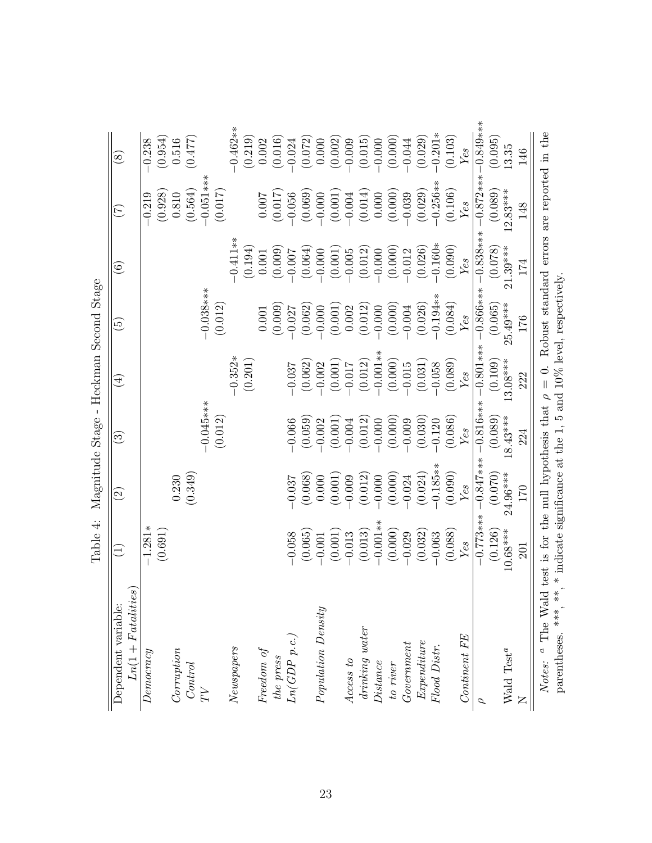<span id="page-23-0"></span>

|                                                                      | Table 4:                                                             |                          | Magnitude Stage -      | Heckman Second Stage |                            |                                            |             |               |
|----------------------------------------------------------------------|----------------------------------------------------------------------|--------------------------|------------------------|----------------------|----------------------------|--------------------------------------------|-------------|---------------|
| $Ln(1 + Fatalties)$<br>Dependent variable:                           | $\widehat{\Xi}$                                                      | $\widehat{\mathfrak{D}}$ | $\widehat{\mathbb{G}}$ | $\widehat{A}$        | $\widetilde{\mathfrak{S}}$ | $\widehat{\odot}$                          | E           | $\circled{s}$ |
| Denocrcy                                                             | $-1.281*$                                                            |                          |                        |                      |                            |                                            | $-0.219$    | $-0.238$      |
|                                                                      | (0.691)                                                              |                          |                        |                      |                            |                                            | (0.928)     | (0.954)       |
| Corruption                                                           |                                                                      | 0.230                    |                        |                      |                            |                                            | $0.810\,$   | 0.516         |
| Control                                                              |                                                                      | (0.349)                  |                        |                      |                            |                                            | (0.564)     | (0.477)       |
| $\overline{T}V$                                                      |                                                                      |                          | $-0.045***$            |                      | $-0.038***$                |                                            | $0.051***$  |               |
|                                                                      |                                                                      |                          | (0.012)                |                      | (0.012)                    |                                            | (0.017)     |               |
| Newspapers                                                           |                                                                      |                          |                        | $-0.352*$            |                            | $-0.411**$                                 |             | $0.462**$     |
|                                                                      |                                                                      |                          |                        | (0.201)              |                            | (0.194)                                    |             | (0.219)       |
| Freedom of                                                           |                                                                      |                          |                        |                      | $0.001\,$                  | 0.001                                      | 0.007       | 0.002         |
| the press                                                            |                                                                      |                          |                        |                      | (0.009)                    | (0.009)                                    | (0.017)     | (0.016)       |
| Ln(GDP p.c.,                                                         | $-0.058$                                                             | $-0.037$                 | $-0.066$               | $-0.037$             | $-0.027$                   | $-0.007$                                   | $-0.056$    | $-0.024$      |
|                                                                      | (0.065)                                                              | (0.068)                  | (0.059)                | (0.062)              | (0.062)                    | (0.064)                                    | (0.069)     | (0.072)       |
| Population Density                                                   | $-0.001$                                                             | 0.000                    | $-0.002$               | $-0.002$             | $-0.000$                   | $-0.000$                                   | $-0.000$    | 0.000         |
|                                                                      | (0.001)                                                              | (0.001)                  | (0.001)                | (0.001)              | (0.001)                    | (0.001)                                    | (0.001)     | (0.002)       |
| Access to                                                            | $-0.013$                                                             | $-0.009$                 | $-0.004$               | $-0.017$             | 0.002                      | $-0.005$                                   | $-0.004$    | $-0.009$      |
| $drinking\ water$                                                    | (0.013)                                                              | (0.012)                  | (0.012)                | (0.012)              | (0.012)                    | (0.012)                                    | (0.014)     | (0.015)       |
| Distance                                                             | $-0.001**$                                                           | $-0.000$                 | $-0.000$               | $-0.001*$            | $-0.000$                   | $-0.000$                                   | 0.000       | $-0.000$      |
| to river                                                             | (0.000)                                                              | (0.000)                  | (0.000)                | (0.000)              | (0.000)                    | (0.000)                                    | $(0.000)$   | (0.000)       |
| Government                                                           | $-0.029$                                                             | $-0.024$                 | $-0.009$               | $-0.015$             | $-0.004$                   | $-0.012$                                   | $-0.039$    | $-0.044$      |
| Expenditure                                                          | (0.032)                                                              | (0.024)                  | (0.030)                | (0.031)              | (0.026)                    | (0.026)                                    | (0.029)     | (0.029)       |
| Flood Distr.                                                         | $-0.063$                                                             | $-0.185**$               | $-0.120$               | $-0.058$             | $-0.194**$                 | $-0.160*$                                  | $-0.256**$  | $-0.201*$     |
|                                                                      | (0.088)                                                              | (0.090)                  | (0.086)                | (0.089)              | (0.084)                    | (0.090)                                    | (0.106)     | (0.103)       |
| Continent FE                                                         | Yes                                                                  | Yes                      | Yes                    | Yes                  | Yes                        | Yes                                        | Yes         | Yes           |
| $\mathcal{L}$                                                        | $-0.773***$                                                          | $-0.847***$              | $-0.816***$            | $-0.801***$          | $-0.866***$                | $-0.838***$                                | $-0.872***$ | $-0.849***$   |
|                                                                      | (0.126)                                                              | (0.070)                  | (0.089)                | (0.109)              | (0.065)                    | (0.078)                                    | (0.089)     | (0.095)       |
| Wald $\mathrm{Test}^a$                                               | $10.68***$                                                           | $24.96***$               | $18.43***$             | $13.08***$           | $25.49***$                 | $21.39***$                                 | $12.83***$  | 13.35         |
|                                                                      | 201                                                                  | 170                      | 224                    | 222                  | 176                        | 174                                        | 148         | 146           |
| Notes: $\alpha$ The Wald test is for the null hypothesis that $\rho$ |                                                                      |                          |                        | $\frac{1}{\sqrt{2}}$ |                            | Robust standard errors are reported in the |             |               |
| parentheses. ***,                                                    | **, * indicate significance at the 1, 5 and 10% level, respectively. |                          |                        |                      |                            |                                            |             |               |
|                                                                      |                                                                      |                          |                        |                      |                            |                                            |             |               |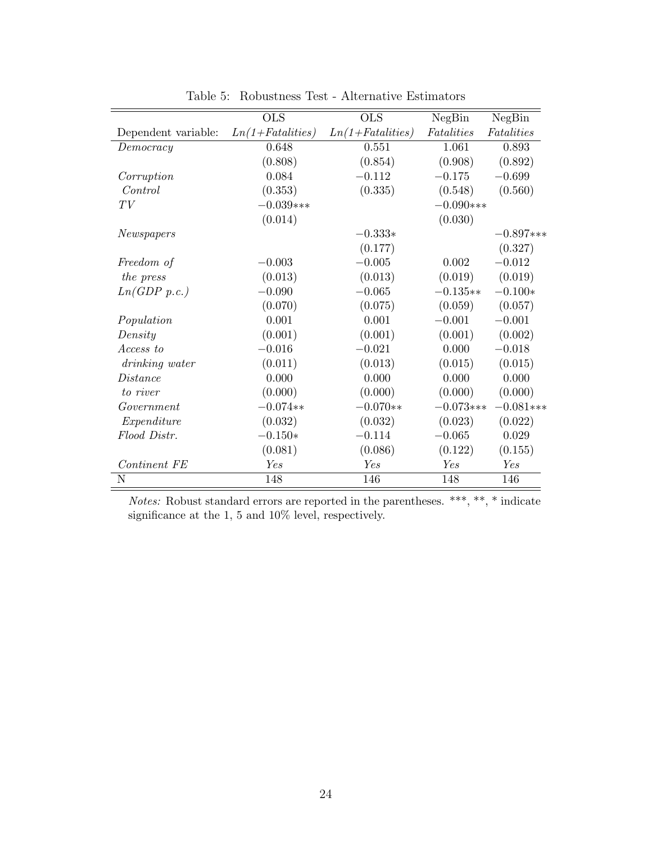|                     | <b>OLS</b>           | <b>OLS</b>           | NegBin      | NegBin      |
|---------------------|----------------------|----------------------|-------------|-------------|
| Dependent variable: | $Ln(1 + Fatalities)$ | $Ln(1 + Fatalities)$ | Fatalities  | Fatalities  |
| Democracy           | 0.648                | 0.551                | 1.061       | 0.893       |
|                     | (0.808)              | (0.854)              | (0.908)     | (0.892)     |
| Corruption          | 0.084                | $-0.112$             | $-0.175$    | $-0.699$    |
| Control             | (0.353)              | (0.335)              | (0.548)     | (0.560)     |
| TV                  | $-0.039***$          |                      | $-0.090***$ |             |
|                     | (0.014)              |                      | (0.030)     |             |
| Newspapers          |                      | $-0.333*$            |             | $-0.897***$ |
|                     |                      | (0.177)              |             | (0.327)     |
| Freedom of          | $-0.003$             | $-0.005$             | 0.002       | $-0.012$    |
| the press           | (0.013)              | (0.013)              | (0.019)     | (0.019)     |
| Ln(GDP p.c.)        | $-0.090$             | $-0.065$             | $-0.135**$  | $-0.100*$   |
|                     | (0.070)              | (0.075)              | (0.059)     | (0.057)     |
| Population          | 0.001                | 0.001                | $-0.001$    | $-0.001$    |
| Density             | (0.001)              | (0.001)              | (0.001)     | (0.002)     |
| Access to           | $-0.016$             | $-0.021$             | 0.000       | $-0.018$    |
| drinking water      | (0.011)              | (0.013)              | (0.015)     | (0.015)     |
| Distance            | 0.000                | 0.000                | 0.000       | 0.000       |
| to river            | (0.000)              | (0.000)              | (0.000)     | (0.000)     |
| Government          | $-0.074**$           | $-0.070**$           | $-0.073***$ | $-0.081***$ |
| Expenditure         | (0.032)              | (0.032)              | (0.023)     | (0.022)     |
| Flood Distr.        | $-0.150*$            | $-0.114$             | $-0.065$    | 0.029       |
|                     | (0.081)              | (0.086)              | (0.122)     | (0.155)     |
| Continent FE        | Yes                  | Yes                  | Yes         | Yes         |
| N                   | 148                  | 146                  | 148         | 146         |
|                     |                      |                      |             |             |

<span id="page-24-0"></span>Table 5: Robustness Test - Alternative Estimators

*Notes:* Robust standard errors are reported in the parentheses. \*\*\*, \*\*, \* indicate significance at the 1, 5 and 10% level, respectively.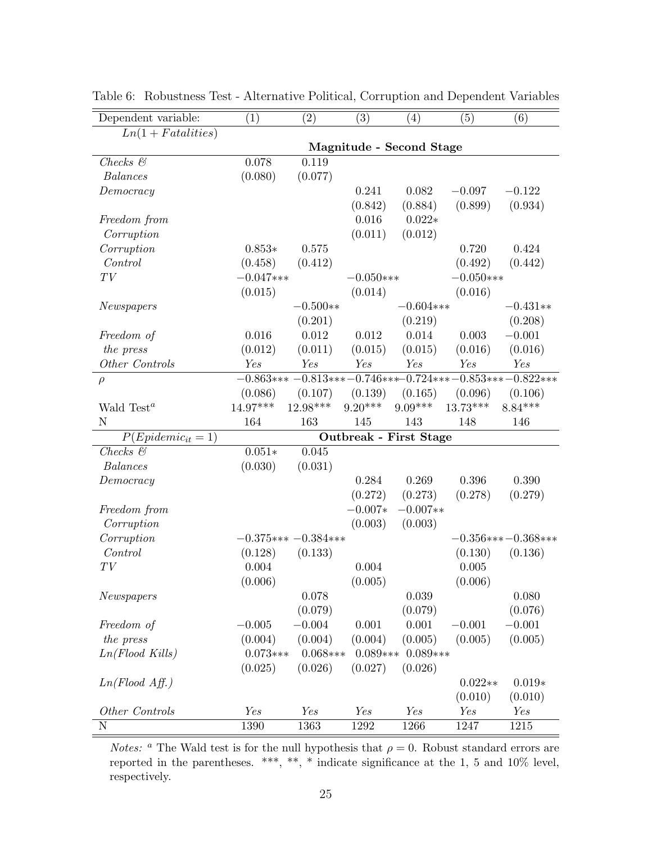| Dependent variable:    | (1)         | $\left( 2\right)$    | $\left( 3\right)$ | $\left( 4\right)$             | (5)         | (6)                                                      |
|------------------------|-------------|----------------------|-------------------|-------------------------------|-------------|----------------------------------------------------------|
| $Ln(1 + Fatalities)$   |             |                      |                   |                               |             |                                                          |
|                        |             |                      |                   | Magnitude - Second Stage      |             |                                                          |
| $Checks$ $\&$          | 0.078       | 0.119                |                   |                               |             |                                                          |
| <b>Balances</b>        | (0.080)     | (0.077)              |                   |                               |             |                                                          |
| Democracy              |             |                      | 0.241             | 0.082                         | $-0.097$    | $-0.122$                                                 |
|                        |             |                      | (0.842)           | (0.884)                       | (0.899)     | (0.934)                                                  |
| Freedom from           |             |                      | 0.016             | $0.022*$                      |             |                                                          |
| Corruption             |             |                      | (0.011)           | (0.012)                       |             |                                                          |
| Corruption             | $0.853*$    | 0.575                |                   |                               | 0.720       | 0.424                                                    |
| Control                | (0.458)     | (0.412)              |                   |                               | (0.492)     | (0.442)                                                  |
| $\cal{T}V$             | $-0.047***$ |                      | $-0.050***$       |                               | $-0.050***$ |                                                          |
|                        | (0.015)     |                      | (0.014)           |                               | (0.016)     |                                                          |
| Newspapers             |             | $-0.500**$           |                   | $-0.604$ ***                  |             | $-0.431**$                                               |
|                        |             | (0.201)              |                   | (0.219)                       |             | (0.208)                                                  |
| Freedom of             | 0.016       | 0.012                | 0.012             | 0.014                         | 0.003       | $-0.001$                                                 |
| the press              | (0.012)     | (0.011)              | (0.015)           | (0.015)                       | (0.016)     | (0.016)                                                  |
| Other Controls         | Yes         | Yes                  | Yes               | Yes                           | Yes         | Yes                                                      |
| $\rho$                 |             |                      |                   |                               |             | $-0.863***-0.813***-0.746***-0.724***-0.853***-0.822***$ |
|                        | (0.086)     | (0.107)              | (0.139)           | (0.165)                       | (0.096)     | (0.106)                                                  |
| Wald Test <sup>a</sup> | 14.97***    | 12.98***             | $9.20***$         | $9.09***$                     | $13.73***$  | $8.84***$                                                |
| N                      | 164         | 163                  | 145               | 143                           | 148         | 146                                                      |
| $P(Epidemic_{it}=1)$   |             |                      |                   | <b>Outbreak - First Stage</b> |             |                                                          |
| $Checks$ $\&$          | $0.051*$    | 0.045                |                   |                               |             |                                                          |
| <b>Balances</b>        | (0.030)     | (0.031)              |                   |                               |             |                                                          |
| Democracy              |             |                      | 0.284             | 0.269                         | 0.396       | 0.390                                                    |
|                        |             |                      | (0.272)           | (0.273)                       | (0.278)     | (0.279)                                                  |
| Freedom from           |             |                      | $-0.007*$         | $-0.007**$                    |             |                                                          |
| Corruption             |             |                      | (0.003)           | (0.003)                       |             |                                                          |
| Corruption             |             | $-0.375***-0.384***$ |                   |                               |             | $-0.356***-0.368***$                                     |
| Control                | (0.128)     | (0.133)              |                   |                               | (0.130)     | (0.136)                                                  |
| TV                     | 0.004       |                      | 0.004             |                               | 0.005       |                                                          |
|                        | (0.006)     |                      | (0.005)           |                               | (0.006)     |                                                          |
| Newspapers             |             | 0.078                |                   | 0.039                         |             | 0.080                                                    |
|                        |             | (0.079)              |                   | (0.079)                       |             | (0.076)                                                  |
| Freedom of             | $-0.005$    | $-0.004$             | 0.001             | 0.001                         | $-0.001$    | $-0.001$                                                 |
| the press              | (0.004)     | (0.004)              | (0.004)           | (0.005)                       | (0.005)     | (0.005)                                                  |
| $Ln(Flood$ Kills)      | $0.073***$  | $0.068***$           | $0.089***$        | $0.089***$                    |             |                                                          |
|                        | (0.025)     | (0.026)              | (0.027)           | (0.026)                       |             |                                                          |
| $Ln(Flood \; Aff.)$    |             |                      |                   |                               | $0.022**$   | $0.019*$                                                 |
|                        |             |                      |                   |                               | (0.010)     | (0.010)                                                  |
| Other Controls         | Yes         | Yes                  | Yes               | Yes                           | Yes         | Yes                                                      |
| N                      | 1390        | 1363                 | 1292              | 1266                          | 1247        | 1215                                                     |

<span id="page-25-0"></span>Table 6: Robustness Test - Alternative Political, Corruption and Dependent Variables

*Notes:* <sup>a</sup> The Wald test is for the null hypothesis that  $\rho = 0$ . Robust standard errors are reported in the parentheses. \*\*\*, \*\*, \* indicate significance at the 1, 5 and 10% level, respectively.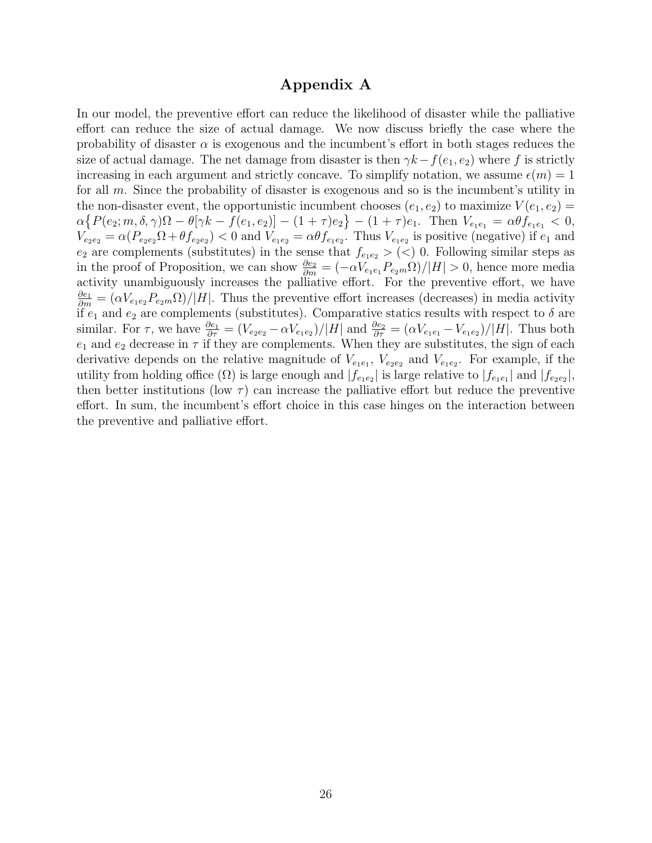### Appendix A

In our model, the preventive effort can reduce the likelihood of disaster while the palliative effort can reduce the size of actual damage. We now discuss briefly the case where the probability of disaster  $\alpha$  is exogenous and the incumbent's effort in both stages reduces the size of actual damage. The net damage from disaster is then  $\gamma k - f(e_1, e_2)$  where f is strictly increasing in each argument and strictly concave. To simplify notation, we assume  $\epsilon(m) = 1$ for all m. Since the probability of disaster is exogenous and so is the incumbent's utility in the non-disaster event, the opportunistic incumbent chooses  $(e_1, e_2)$  to maximize  $V(e_1, e_2)$  =  $\alpha \{ P(e_2; m, \delta, \gamma) \Omega - \theta[\gamma k - f(e_1, e_2)] - (1 + \tau)e_2 \} - (1 + \tau)e_1$ . Then  $V_{e_1 e_1} = \alpha \theta f_{e_1 e_1} < 0$ ,  $V_{e_2e_2} = \alpha (P_{e_2e_2} \Omega + \theta f_{e_2e_2})$  < 0 and  $V_{e_1e_2} = \alpha \theta f_{e_1e_2}$ . Thus  $V_{e_1e_2}$  is positive (negative) if  $e_1$  and  $e_2$  are complements (substitutes) in the sense that  $f_{e_1e_2} > (<) 0$ . Following similar steps as in the proof of Proposition, we can show  $\frac{\partial e_2}{\partial m} = (-\alpha V_{e_1e_1} P_{e_2m} \Omega)/|H| > 0$ , hence more media activity unambiguously increases the palliative effort. For the preventive effort, we have  $\frac{\partial e_1}{\partial m} = (\alpha V_{e_1e_2} P_{e_2m}\Omega)/|H|$ . Thus the preventive effort increases (decreases) in media activity if  $e_1$  and  $e_2$  are complements (substitutes). Comparative statics results with respect to  $\delta$  are similar. For  $\tau$ , we have  $\frac{\partial e_1}{\partial \tau} = (V_{e_2e_2} - \alpha V_{e_1e_2})/|H|$  and  $\frac{\partial e_2}{\partial \tau} = (\alpha V_{e_1e_1} - V_{e_1e_2})/|H|$ . Thus both  $e_1$  and  $e_2$  decrease in  $\tau$  if they are complements. When they are substitutes, the sign of each derivative depends on the relative magnitude of  $V_{e_1e_1}$ ,  $V_{e_2e_2}$  and  $V_{e_1e_2}$ . For example, if the utility from holding office  $(\Omega)$  is large enough and  $|f_{e_1e_2}|$  is large relative to  $|f_{e_1e_1}|$  and  $|f_{e_2e_2}|$ , then better institutions (low  $\tau$ ) can increase the palliative effort but reduce the preventive effort. In sum, the incumbent's effort choice in this case hinges on the interaction between the preventive and palliative effort.